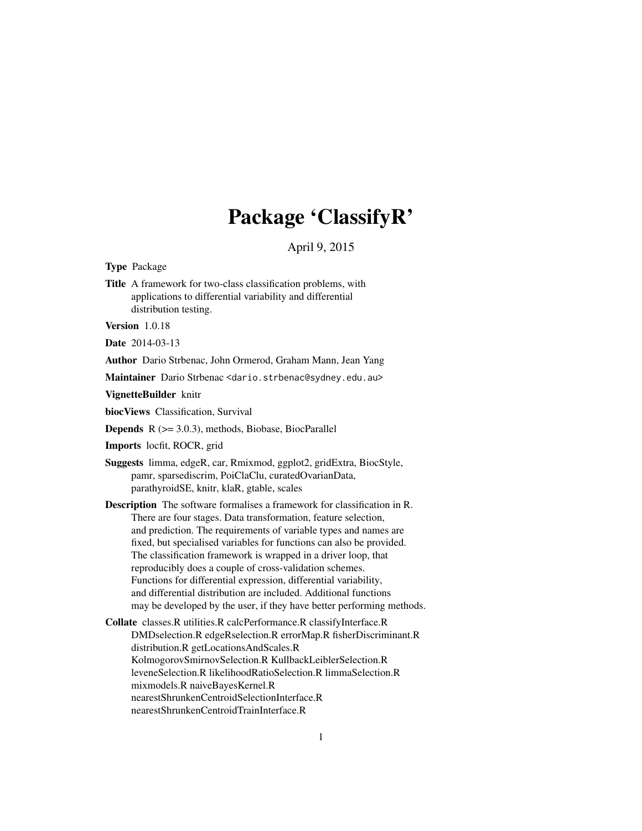# Package 'ClassifyR'

April 9, 2015

<span id="page-0-0"></span>Type Package

Title A framework for two-class classification problems, with applications to differential variability and differential distribution testing.

Version 1.0.18

Date 2014-03-13

Author Dario Strbenac, John Ormerod, Graham Mann, Jean Yang

Maintainer Dario Strbenac <dario.strbenac@sydney.edu.au>

VignetteBuilder knitr

biocViews Classification, Survival

**Depends**  $R$  ( $>= 3.0.3$ ), methods, Biobase, BiocParallel

Imports locfit, ROCR, grid

- Suggests limma, edgeR, car, Rmixmod, ggplot2, gridExtra, BiocStyle, pamr, sparsediscrim, PoiClaClu, curatedOvarianData, parathyroidSE, knitr, klaR, gtable, scales
- Description The software formalises a framework for classification in R. There are four stages. Data transformation, feature selection, and prediction. The requirements of variable types and names are fixed, but specialised variables for functions can also be provided. The classification framework is wrapped in a driver loop, that reproducibly does a couple of cross-validation schemes. Functions for differential expression, differential variability, and differential distribution are included. Additional functions may be developed by the user, if they have better performing methods.
- Collate classes.R utilities.R calcPerformance.R classifyInterface.R DMDselection.R edgeRselection.R errorMap.R fisherDiscriminant.R distribution.R getLocationsAndScales.R KolmogorovSmirnovSelection.R KullbackLeiblerSelection.R leveneSelection.R likelihoodRatioSelection.R limmaSelection.R mixmodels.R naiveBayesKernel.R nearestShrunkenCentroidSelectionInterface.R nearestShrunkenCentroidTrainInterface.R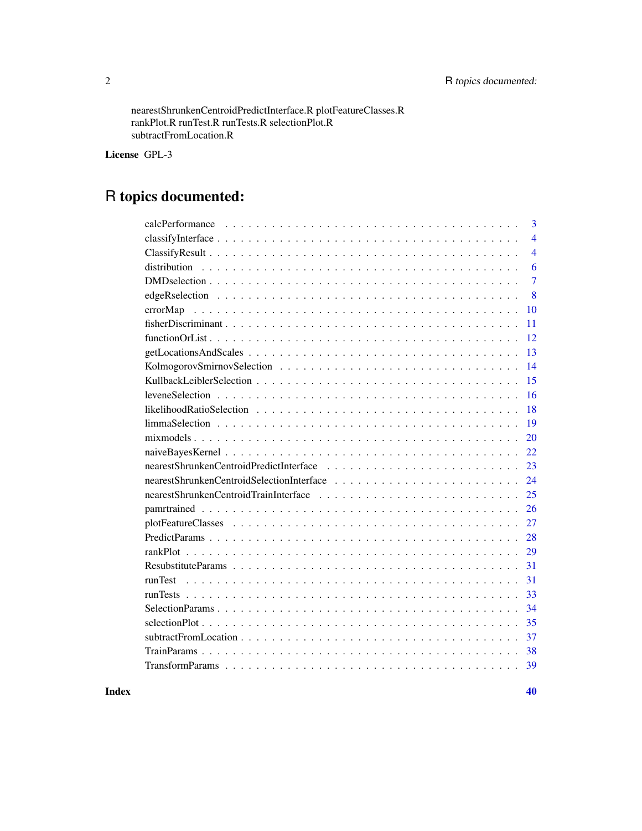nearestShrunkenCentroidPredictInterface.R plotFeatureClasses.R rankPlot.R runTest.R runTests.R selectionPlot.R subtractFromLocation.R

License GPL-3

## R topics documented:

| 3              |
|----------------|
| $\overline{4}$ |
| $\overline{4}$ |
| 6              |
| $\overline{7}$ |
| 8              |
| errorMap<br>10 |
| 11             |
| 12             |
| 13             |
| 14             |
| 15             |
| 16             |
| 18             |
| 19             |
| 20             |
| 22             |
| 23             |
| 24             |
| 25             |
| 26             |
| 27             |
| 28             |
| 29             |
| 31             |
| 31             |
| 33             |
| 34             |
| 35             |
| 37             |
| 38             |
| 39             |
|                |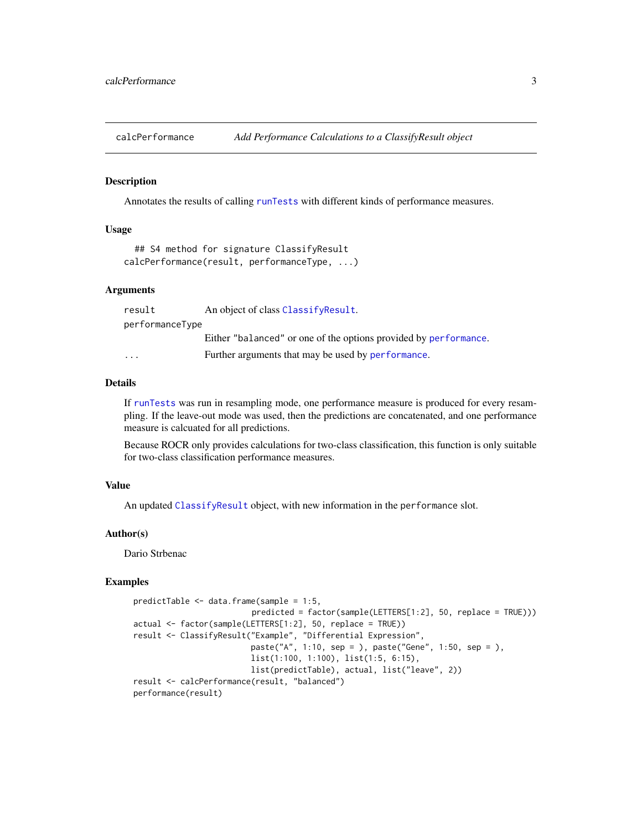<span id="page-2-1"></span><span id="page-2-0"></span>calcPerformance *Add Performance Calculations to a ClassifyResult object*

## **Description**

Annotates the results of calling [runTests](#page-32-1) with different kinds of performance measures.

## Usage

```
## S4 method for signature ClassifyResult
calcPerformance(result, performanceType, ...)
```
#### Arguments

| result          | An object of class ClassifyResult.                               |
|-----------------|------------------------------------------------------------------|
| performanceType |                                                                  |
|                 | Either "balanced" or one of the options provided by performance. |
| $\cdots$        | Further arguments that may be used by performance.               |

## Details

If [runTests](#page-32-1) was run in resampling mode, one performance measure is produced for every resampling. If the leave-out mode was used, then the predictions are concatenated, and one performance measure is calcuated for all predictions.

Because ROCR only provides calculations for two-class classification, this function is only suitable for two-class classification performance measures.

## Value

An updated [ClassifyResult](#page-3-2) object, with new information in the performance slot.

#### Author(s)

Dario Strbenac

## Examples

```
predictTable <- data.frame(sample = 1:5,
                         predicted = factor(sample(LETTERS[1:2], 50, replace = TRUE)))
actual <- factor(sample(LETTERS[1:2], 50, replace = TRUE))
result <- ClassifyResult("Example", "Differential Expression",
                         paste("A", 1:10, sep = ), paste("Gene", 1:50, sep = ),
                         list(1:100, 1:100), list(1:5, 6:15),
                         list(predictTable), actual, list("leave", 2))
result <- calcPerformance(result, "balanced")
performance(result)
```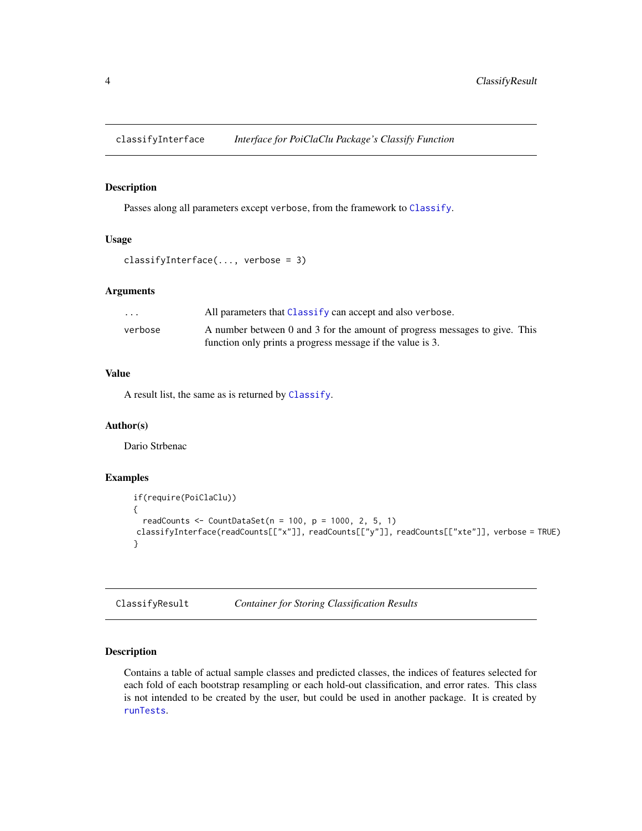<span id="page-3-0"></span>classifyInterface *Interface for PoiClaClu Package's Classify Function*

## Description

Passes along all parameters except verbose, from the framework to [Classify](#page-0-0).

## Usage

```
classifyInterface(..., verbose = 3)
```
## Arguments

| $\cdot$ $\cdot$ $\cdot$ | All parameters that Classify can accept and also verbose.                  |  |
|-------------------------|----------------------------------------------------------------------------|--|
| verbose                 | A number between 0 and 3 for the amount of progress messages to give. This |  |
|                         | function only prints a progress message if the value is 3.                 |  |

### Value

A result list, the same as is returned by [Classify](#page-0-0).

#### Author(s)

Dario Strbenac

#### Examples

```
if(require(PoiClaClu))
{
  readCounts \leq CountDataSet(n = 100, p = 1000, 2, 5, 1)
classifyInterface(readCounts[["x"]], readCounts[["y"]], readCounts[["xte"]], verbose = TRUE)
}
```
<span id="page-3-1"></span>ClassifyResult *Container for Storing Classification Results*

## <span id="page-3-2"></span>Description

Contains a table of actual sample classes and predicted classes, the indices of features selected for each fold of each bootstrap resampling or each hold-out classification, and error rates. This class is not intended to be created by the user, but could be used in another package. It is created by [runTests](#page-32-1).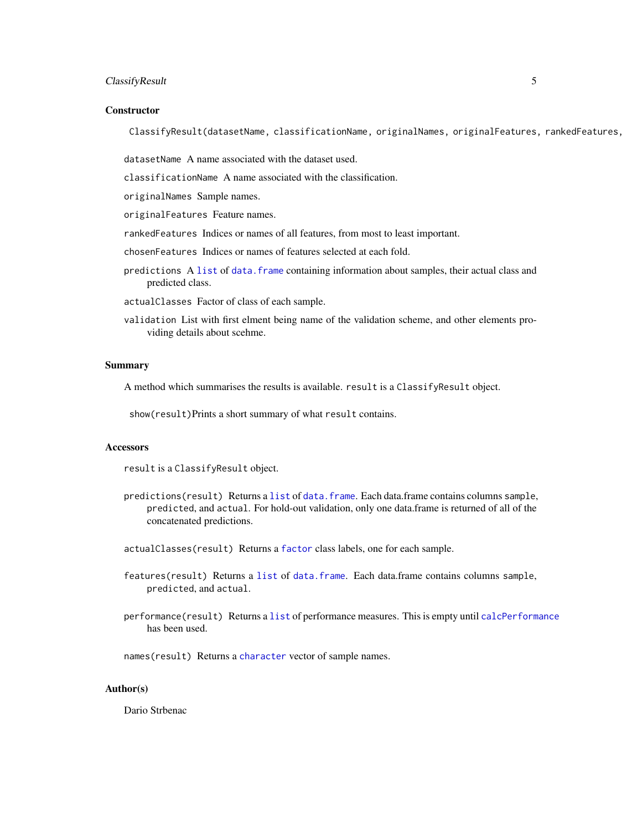## ClassifyResult 5

#### **Constructor**

ClassifyResult(datasetName, classificationName, originalNames, originalFeatures, rankedFeatures,

datasetName A name associated with the dataset used.

classificationName A name associated with the classification.

originalNames Sample names.

originalFeatures Feature names.

rankedFeatures Indices or names of all features, from most to least important.

chosenFeatures Indices or names of features selected at each fold.

- predictions A [list](#page-0-0) of data. frame containing information about samples, their actual class and predicted class.
- actualClasses Factor of class of each sample.
- validation List with first elment being name of the validation scheme, and other elements providing details about scehme.

#### Summary

A method which summarises the results is available. result is a ClassifyResult object.

show(result)Prints a short summary of what result contains.

## **Accessors**

result is a ClassifyResult object.

predictions(result) Returns a [list](#page-0-0) of [data.frame](#page-0-0). Each data.frame contains columns sample, predicted, and actual. For hold-out validation, only one data.frame is returned of all of the concatenated predictions.

actualClasses(result) Returns a [factor](#page-0-0) class labels, one for each sample.

- features(result) Returns a [list](#page-0-0) of [data.frame](#page-0-0). Each data.frame contains columns sample, predicted, and actual.
- performance(result) Returns a [list](#page-0-0) of performance measures. This is empty until [calcPerformance](#page-2-1) has been used.

names(result) Returns a [character](#page-0-0) vector of sample names.

#### Author(s)

Dario Strbenac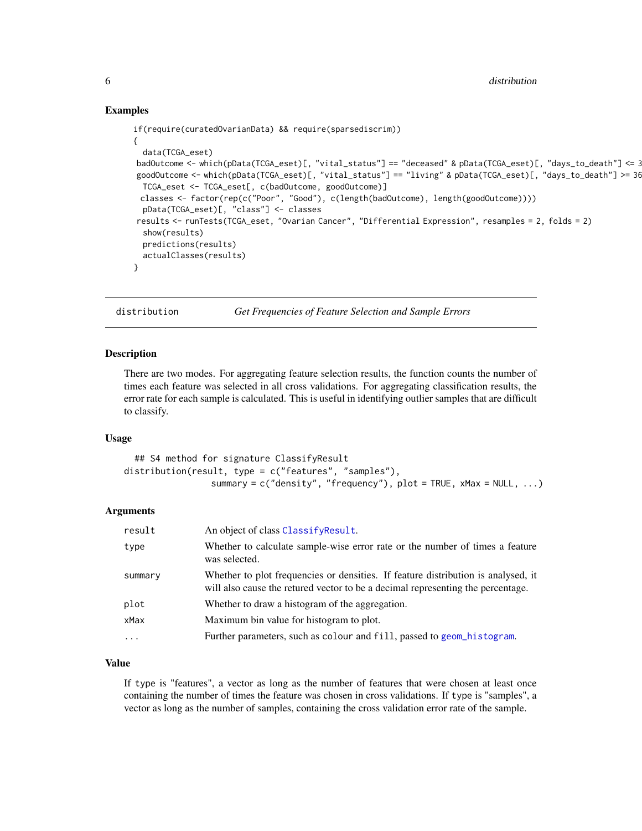## Examples

```
if(require(curatedOvarianData) && require(sparsediscrim))
{
  data(TCGA_eset)
badOutcome <- which(pData(TCGA_eset)[, "vital_status"] == "deceased" & pData(TCGA_eset)[, "days_to_death"] <= 365)
goodOutcome <- which(pData(TCGA_eset)[, "vital_status"] == "living" & pData(TCGA_eset)[, "days_to_death"] >= 36
  TCGA_eset <- TCGA_eset[, c(badOutcome, goodOutcome)]
 classes <- factor(rep(c("Poor", "Good"), c(length(badOutcome), length(goodOutcome))))
 pData(TCGA_eset)[, "class"] <- classes
results <- runTests(TCGA_eset, "Ovarian Cancer", "Differential Expression", resamples = 2, folds = 2)
  show(results)
  predictions(results)
  actualClasses(results)
}
```
distribution *Get Frequencies of Feature Selection and Sample Errors*

#### Description

There are two modes. For aggregating feature selection results, the function counts the number of times each feature was selected in all cross validations. For aggregating classification results, the error rate for each sample is calculated. This is useful in identifying outlier samples that are difficult to classify.

## Usage

```
## S4 method for signature ClassifyResult
distribution(result, type = c("features", "samples"),
                 summary = c("density", "frequency"), plot = TRUE, xMax = NULL, ...)
```
#### Arguments

| result    | An object of class ClassifyResult.                                                                                                                                   |
|-----------|----------------------------------------------------------------------------------------------------------------------------------------------------------------------|
| type      | Whether to calculate sample-wise error rate or the number of times a feature<br>was selected.                                                                        |
| summary   | Whether to plot frequencies or densities. If feature distribution is analysed, it<br>will also cause the retured vector to be a decimal representing the percentage. |
| plot      | Whether to draw a histogram of the aggregation.                                                                                                                      |
| xMax      | Maximum bin value for histogram to plot.                                                                                                                             |
| $\ddotsc$ | Further parameters, such as colour and fill, passed to geom_histogram.                                                                                               |

## Value

If type is "features", a vector as long as the number of features that were chosen at least once containing the number of times the feature was chosen in cross validations. If type is "samples", a vector as long as the number of samples, containing the cross validation error rate of the sample.

<span id="page-5-0"></span>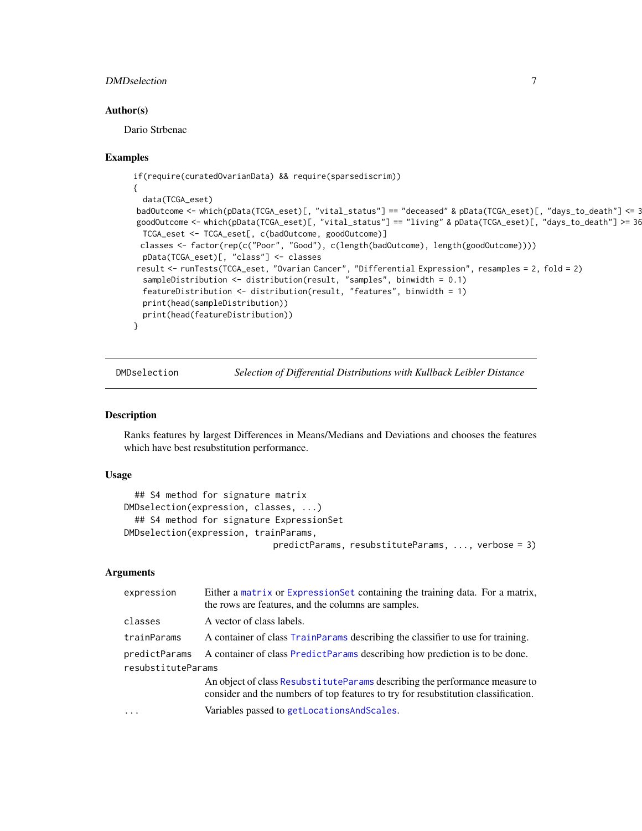## <span id="page-6-0"></span>DMDselection 7

#### Author(s)

Dario Strbenac

## Examples

```
if(require(curatedOvarianData) && require(sparsediscrim))
{
  data(TCGA_eset)
badOutcome <- which(pData(TCGA_eset)[, "vital_status"] == "deceased" & pData(TCGA_eset)[, "days_to_death"] <= 3
goodOutcome <- which(pData(TCGA_eset)[, "vital_status"] == "living" & pData(TCGA_eset)[, "days_to_death"] >= 36
 TCGA_eset <- TCGA_eset[, c(badOutcome, goodOutcome)]
 classes <- factor(rep(c("Poor", "Good"), c(length(badOutcome), length(goodOutcome))))
 pData(TCGA_eset)[, "class"] <- classes
result <- runTests(TCGA_eset, "Ovarian Cancer", "Differential Expression", resamples = 2, fold = 2)
  sampleDistribution <- distribution(result, "samples", binwidth = 0.1)
  featureDistribution <- distribution(result, "features", binwidth = 1)
 print(head(sampleDistribution))
 print(head(featureDistribution))
}
```
DMDselection *Selection of Differential Distributions with Kullback Leibler Distance*

#### Description

Ranks features by largest Differences in Means/Medians and Deviations and chooses the features which have best resubstitution performance.

## Usage

```
## S4 method for signature matrix
DMDselection(expression, classes, ...)
  ## S4 method for signature ExpressionSet
DMDselection(expression, trainParams,
                             predictParams, resubstituteParams, ..., verbose = 3)
```
## Arguments

| expression         | Either a matrix or ExpressionSet containing the training data. For a matrix,<br>the rows are features, and the columns are samples.                                |  |
|--------------------|--------------------------------------------------------------------------------------------------------------------------------------------------------------------|--|
| classes            | A vector of class labels.                                                                                                                                          |  |
| trainParams        | A container of class TrainParams describing the classifier to use for training.                                                                                    |  |
| predictParams      | A container of class PredictParams describing how prediction is to be done.                                                                                        |  |
| resubstituteParams |                                                                                                                                                                    |  |
|                    | An object of class Resubstitute Params describing the performance measure to<br>consider and the numbers of top features to try for resubstitution classification. |  |
| $\cdot$            | Variables passed to getLocationsAndScales.                                                                                                                         |  |
|                    |                                                                                                                                                                    |  |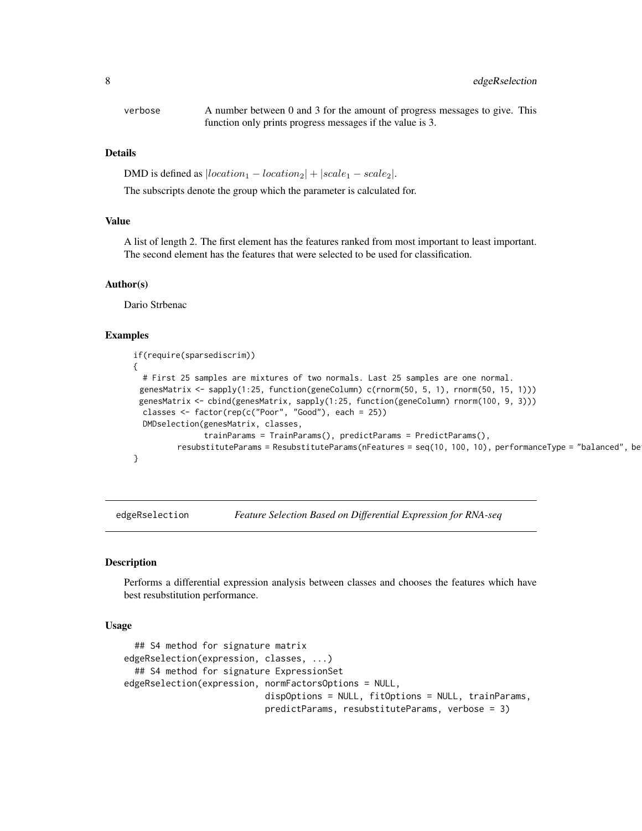<span id="page-7-0"></span>verbose A number between 0 and 3 for the amount of progress messages to give. This function only prints progress messages if the value is 3.

## **Details**

DMD is defined as  $|location_1 - location_2| + |scale_1 - scale_2|$ .

The subscripts denote the group which the parameter is calculated for.

#### Value

A list of length 2. The first element has the features ranked from most important to least important. The second element has the features that were selected to be used for classification.

#### Author(s)

Dario Strbenac

## Examples

```
if(require(sparsediscrim))
{
 # First 25 samples are mixtures of two normals. Last 25 samples are one normal.
 genesMatrix <- sapply(1:25, function(geneColumn) c(rnorm(50, 5, 1), rnorm(50, 15, 1)))
 genesMatrix <- cbind(genesMatrix, sapply(1:25, function(geneColumn) rnorm(100, 9, 3)))
  classes \le factor(rep(c("Poor", "Good"), each = 25))
  DMDselection(genesMatrix, classes,
               trainParams = TrainParams(), predictParams = PredictParams(),
          resubstituteParams = ResubstituteParams(nFeatures = seq(10, 100, 10), performanceType = "balanced", better = "lower"))
}
```
edgeRselection *Feature Selection Based on Differential Expression for RNA-seq*

## **Description**

Performs a differential expression analysis between classes and chooses the features which have best resubstitution performance.

#### Usage

```
## S4 method for signature matrix
edgeRselection(expression, classes, ...)
  ## S4 method for signature ExpressionSet
edgeRselection(expression, normFactorsOptions = NULL,
                           dispOptions = NULL, fitOptions = NULL, trainParams,
                           predictParams, resubstituteParams, verbose = 3)
```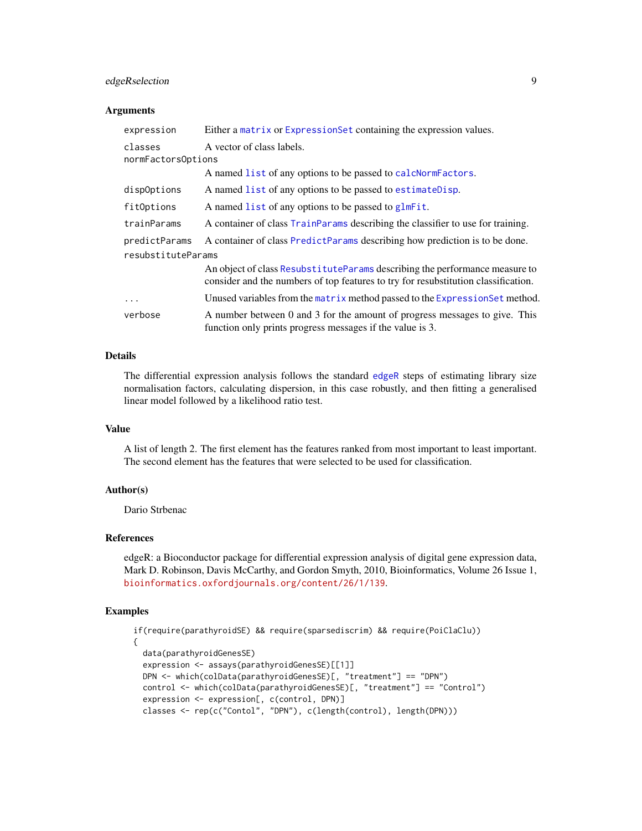## edgeRselection 9

#### **Arguments**

| expression         | Either a matrix or ExpressionSet containing the expression values.                                                                                                 |  |
|--------------------|--------------------------------------------------------------------------------------------------------------------------------------------------------------------|--|
| classes            | A vector of class labels.                                                                                                                                          |  |
| normFactorsOptions |                                                                                                                                                                    |  |
|                    | A named list of any options to be passed to calcNormFactors.                                                                                                       |  |
| dispOptions        | A named list of any options to be passed to estimate Disp.                                                                                                         |  |
| fitOptions         | A named list of any options to be passed to glmFit.                                                                                                                |  |
| trainParams        | A container of class TrainParams describing the classifier to use for training.                                                                                    |  |
| predictParams      | A container of class PredictParams describing how prediction is to be done.                                                                                        |  |
| resubstituteParams |                                                                                                                                                                    |  |
|                    | An object of class Resubstitute Params describing the performance measure to<br>consider and the numbers of top features to try for resubstitution classification. |  |
| $\ddotsc$          | Unused variables from the matrix method passed to the Expression Set method.                                                                                       |  |
| verbose            | A number between 0 and 3 for the amount of progress messages to give. This<br>function only prints progress messages if the value is 3.                            |  |

## Details

The differential expression analysis follows the standard [edgeR](#page-0-0) steps of estimating library size normalisation factors, calculating dispersion, in this case robustly, and then fitting a generalised linear model followed by a likelihood ratio test.

## Value

A list of length 2. The first element has the features ranked from most important to least important. The second element has the features that were selected to be used for classification.

## Author(s)

Dario Strbenac

## References

edgeR: a Bioconductor package for differential expression analysis of digital gene expression data, Mark D. Robinson, Davis McCarthy, and Gordon Smyth, 2010, Bioinformatics, Volume 26 Issue 1, <bioinformatics.oxfordjournals.org/content/26/1/139>.

## Examples

```
if(require(parathyroidSE) && require(sparsediscrim) && require(PoiClaClu))
{
  data(parathyroidGenesSE)
  expression <- assays(parathyroidGenesSE)[[1]]
  DPN <- which(colData(parathyroidGenesSE)[, "treatment"] == "DPN")
  control <- which(colData(parathyroidGenesSE)[, "treatment"] == "Control")
  expression <- expression[, c(control, DPN)]
  classes <- rep(c("Contol", "DPN"), c(length(control), length(DPN)))
```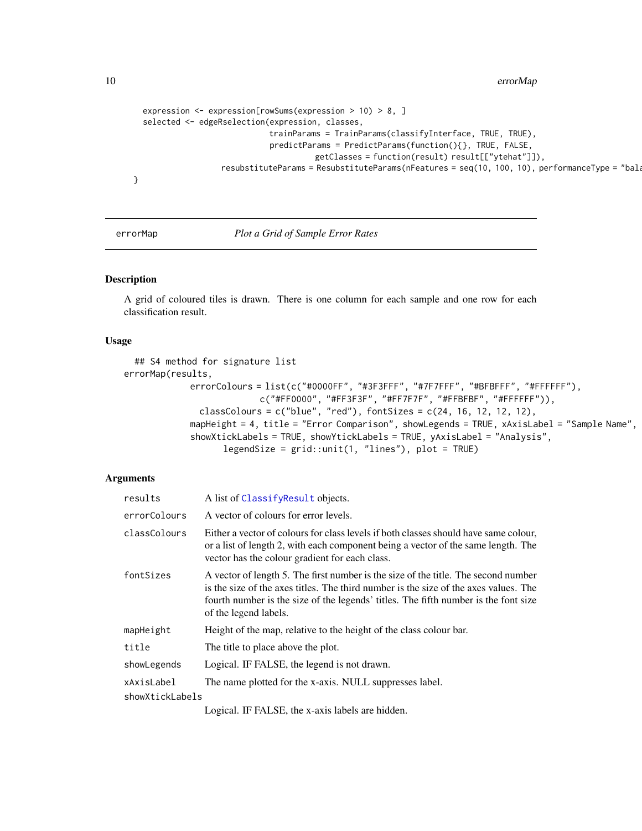<span id="page-9-0"></span>10 errorMap

```
expression <- expression[rowSums(expression > 10) > 8, ]
selected <- edgeRselection(expression, classes,
                           trainParams = TrainParams(classifyInterface, TRUE, TRUE),
                           predictParams = PredictParams(function(){}, TRUE, FALSE,
                                     getClasses = function(result) result[["ytehat"]]),
                resubstituteParams = ResubstituteParams(nFeatures = seq(10, 100, 10), performanceType = "bala
```
}

errorMap *Plot a Grid of Sample Error Rates*

#### Description

A grid of coloured tiles is drawn. There is one column for each sample and one row for each classification result.

## Usage

```
## S4 method for signature list
errorMap(results,
             errorColours = list(c("#0000FF", "#3F3FFF", "#7F7FFF", "#BFBFFF", "#FFFFFF"),
                          c("#FF0000", "#FF3F3F", "#FF7F7F", "#FFBFBF", "#FFFFFF")),
              classColours = c("blue", "red"), fontSizes = c(24, 16, 12, 12, 12),mapHeight = 4, title = "Error Comparison", showLegends = TRUE, xAxisLabel = "Sample Name",
             showXtickLabels = TRUE, showYtickLabels = TRUE, yAxisLabel = "Analysis",
                   legendSize = grid::unit(1, "lines"), plot = TRUE)
```
#### Arguments

| results         | A list of ClassifyResult objects.                                                                                                                                                                                                                                                          |
|-----------------|--------------------------------------------------------------------------------------------------------------------------------------------------------------------------------------------------------------------------------------------------------------------------------------------|
| errorColours    | A vector of colours for error levels.                                                                                                                                                                                                                                                      |
| classColours    | Either a vector of colours for class levels if both classes should have same colour,<br>or a list of length 2, with each component being a vector of the same length. The<br>vector has the colour gradient for each class.                                                                |
| fontSizes       | A vector of length 5. The first number is the size of the title. The second number<br>is the size of the axes titles. The third number is the size of the axes values. The<br>fourth number is the size of the legends' titles. The fifth number is the font size<br>of the legend labels. |
| mapHeight       | Height of the map, relative to the height of the class colour bar.                                                                                                                                                                                                                         |
| title           | The title to place above the plot.                                                                                                                                                                                                                                                         |
| showLegends     | Logical. IF FALSE, the legend is not drawn.                                                                                                                                                                                                                                                |
| xAxisLabel      | The name plotted for the x-axis. NULL suppresses label.                                                                                                                                                                                                                                    |
| showXtickLabels |                                                                                                                                                                                                                                                                                            |
|                 |                                                                                                                                                                                                                                                                                            |

Logical. IF FALSE, the x-axis labels are hidden.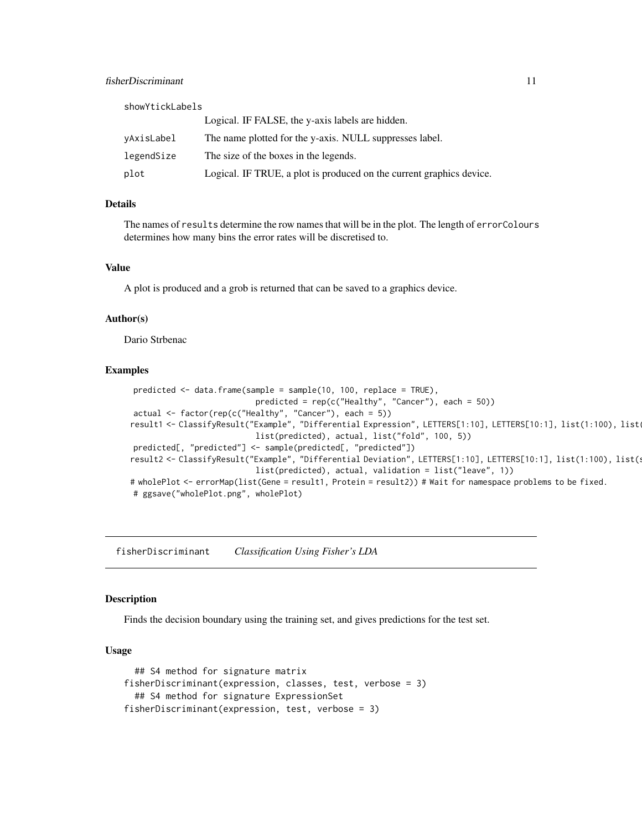<span id="page-10-0"></span>

| showYtickLabels |                                                                      |
|-----------------|----------------------------------------------------------------------|
|                 | Logical. IF FALSE, the y-axis labels are hidden.                     |
| vAxisLabel      | The name plotted for the y-axis. NULL suppresses label.              |
| legendSize      | The size of the boxes in the legends.                                |
| plot            | Logical. IF TRUE, a plot is produced on the current graphics device. |

## Details

The names of results determine the row names that will be in the plot. The length of errorColours determines how many bins the error rates will be discretised to.

#### Value

A plot is produced and a grob is returned that can be saved to a graphics device.

#### Author(s)

Dario Strbenac

## Examples

```
predicted <- data.frame(sample = sample(10, 100, replace = TRUE),
                           predicted = rep(c("Healthy", "Cancer"), each = 50))actual <- factor(rep(c("Healthy", "Cancer"), each = 5))
result1 <- ClassifyResult("Example", "Differential Expression", LETTERS[1:10], LETTERS[10:1], list(1:100), list
                           list(predicted), actual, list("fold", 100, 5))
predicted[, "predicted"] <- sample(predicted[, "predicted"])
result2 <- ClassifyResult("Example", "Differential Deviation", LETTERS[1:10], LETTERS[10:1], list(1:100), list(
                           list(predicted), actual, validation = list("leave", 1))
# wholePlot <- errorMap(list(Gene = result1, Protein = result2)) # Wait for namespace problems to be fixed.
# ggsave("wholePlot.png", wholePlot)
```
fisherDiscriminant *Classification Using Fisher's LDA*

## Description

Finds the decision boundary using the training set, and gives predictions for the test set.

#### Usage

```
## S4 method for signature matrix
fisherDiscriminant(expression, classes, test, verbose = 3)
  ## S4 method for signature ExpressionSet
fisherDiscriminant(expression, test, verbose = 3)
```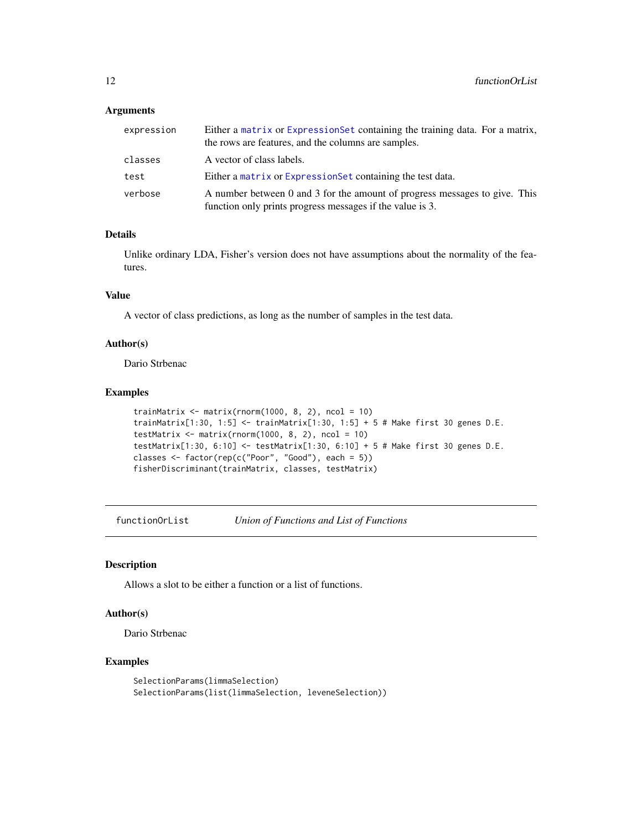## <span id="page-11-0"></span>Arguments

| expression | Either a matrix or Expression Set containing the training data. For a matrix,<br>the rows are features, and the columns are samples.    |
|------------|-----------------------------------------------------------------------------------------------------------------------------------------|
| classes    | A vector of class labels.                                                                                                               |
| test       | Either a matrix or Expression Set containing the test data.                                                                             |
| verbose    | A number between 0 and 3 for the amount of progress messages to give. This<br>function only prints progress messages if the value is 3. |

## Details

Unlike ordinary LDA, Fisher's version does not have assumptions about the normality of the features.

## Value

A vector of class predictions, as long as the number of samples in the test data.

## Author(s)

Dario Strbenac

## Examples

```
trainMatrix \leq matrix(rnorm(1000, 8, 2), ncol = 10)
trainMatrix[1:30, 1:5] <- trainMatrix[1:30, 1:5] + 5 # Make first 30 genes D.E.
testMatrix \leq matrix(rnorm(1000, 8, 2), ncol = 10)
testMatrix[1:30, 6:10] <- testMatrix[1:30, 6:10] + 5 # Make first 30 genes D.E.
classes <- factor(rep(c("Poor", "Good"), each = 5))
fisherDiscriminant(trainMatrix, classes, testMatrix)
```
functionOrList *Union of Functions and List of Functions*

## Description

Allows a slot to be either a function or a list of functions.

## Author(s)

Dario Strbenac

## Examples

```
SelectionParams(limmaSelection)
SelectionParams(list(limmaSelection, leveneSelection))
```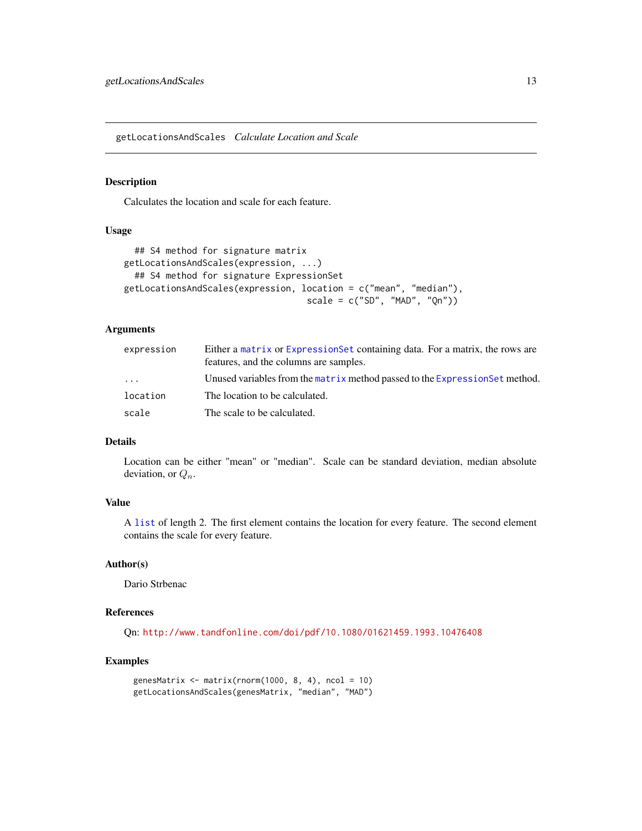<span id="page-12-1"></span><span id="page-12-0"></span>getLocationsAndScales *Calculate Location and Scale*

#### Description

Calculates the location and scale for each feature.

## Usage

```
## S4 method for signature matrix
getLocationsAndScales(expression, ...)
  ## S4 method for signature ExpressionSet
getLocationsAndScales(expression, location = c("mean", "median"),
                                   scale = c("SD", "MAD", "Qn")
```
## Arguments

| expression | Either a matrix or Expression Set containing data. For a matrix, the rows are<br>features, and the columns are samples. |
|------------|-------------------------------------------------------------------------------------------------------------------------|
| $\cdots$   | Unused variables from the matrix method passed to the Expression Set method.                                            |
| location   | The location to be calculated.                                                                                          |
| scale      | The scale to be calculated.                                                                                             |

## Details

Location can be either "mean" or "median". Scale can be standard deviation, median absolute deviation, or  $Q_n$ .

## Value

A [list](#page-0-0) of length 2. The first element contains the location for every feature. The second element contains the scale for every feature.

#### Author(s)

Dario Strbenac

## References

Qn: <http://www.tandfonline.com/doi/pdf/10.1080/01621459.1993.10476408>

#### Examples

```
genesMatrix \leq matrix(rnorm(1000, 8, 4), ncol = 10)
getLocationsAndScales(genesMatrix, "median", "MAD")
```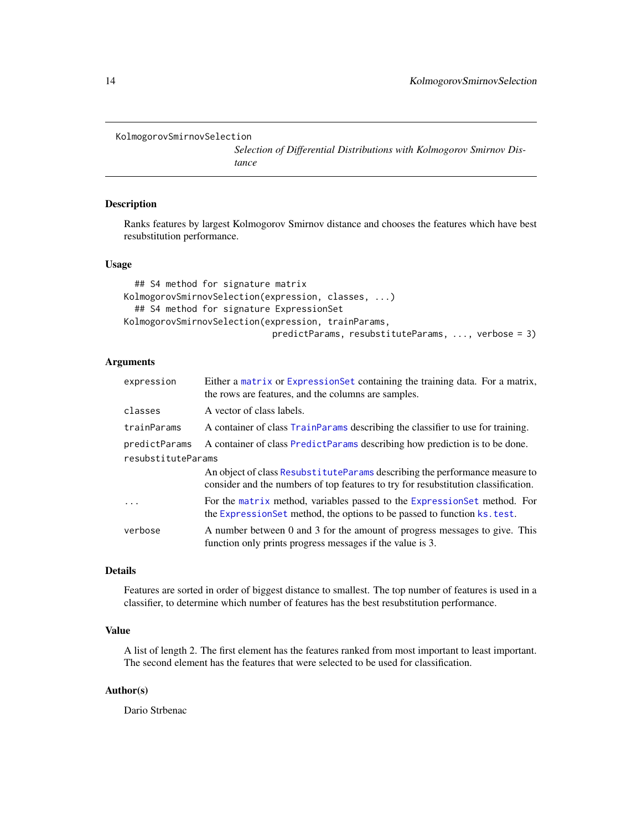```
KolmogorovSmirnovSelection
```
*Selection of Differential Distributions with Kolmogorov Smirnov Distance*

#### Description

Ranks features by largest Kolmogorov Smirnov distance and chooses the features which have best resubstitution performance.

## Usage

```
## S4 method for signature matrix
KolmogorovSmirnovSelection(expression, classes, ...)
  ## S4 method for signature ExpressionSet
KolmogorovSmirnovSelection(expression, trainParams,
                            predictParams, resubstituteParams, ..., verbose = 3)
```
## Arguments

| expression         | Either a matrix or Expression Set containing the training data. For a matrix,<br>the rows are features, and the columns are samples.                               |  |
|--------------------|--------------------------------------------------------------------------------------------------------------------------------------------------------------------|--|
| classes            | A vector of class labels.                                                                                                                                          |  |
| trainParams        | A container of class TrainParams describing the classifier to use for training.                                                                                    |  |
| predictParams      | A container of class PredictParams describing how prediction is to be done.                                                                                        |  |
| resubstituteParams |                                                                                                                                                                    |  |
|                    | An object of class Resubstitute Params describing the performance measure to<br>consider and the numbers of top features to try for resubstitution classification. |  |
| $\ddots$ .         | For the matrix method, variables passed to the Expression Set method. For<br>the Expression Set method, the options to be passed to function ks. test.             |  |
| verbose            | A number between 0 and 3 for the amount of progress messages to give. This<br>function only prints progress messages if the value is 3.                            |  |

## Details

Features are sorted in order of biggest distance to smallest. The top number of features is used in a classifier, to determine which number of features has the best resubstitution performance.

## Value

A list of length 2. The first element has the features ranked from most important to least important. The second element has the features that were selected to be used for classification.

#### Author(s)

Dario Strbenac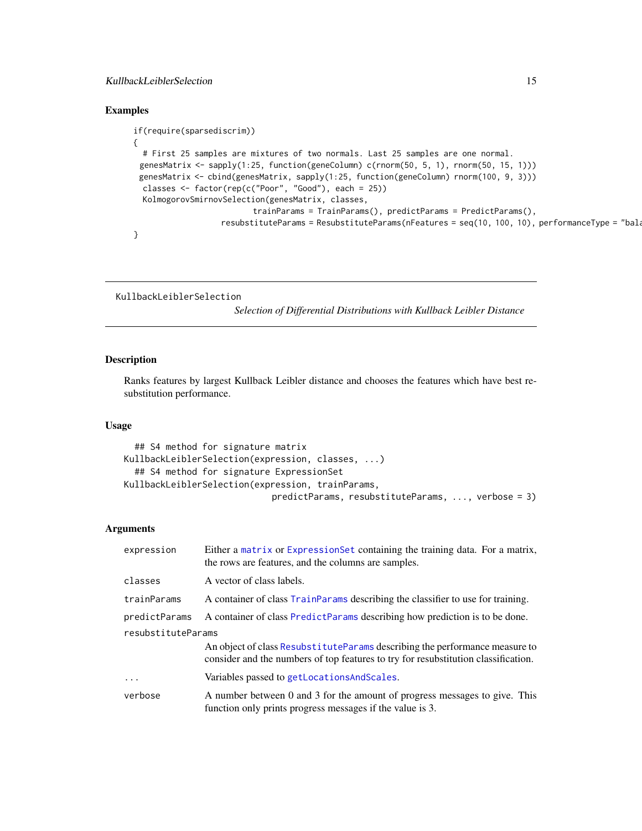## <span id="page-14-0"></span>KullbackLeiblerSelection 15

## Examples

```
if(require(sparsediscrim))
{
  # First 25 samples are mixtures of two normals. Last 25 samples are one normal.
 genesMatrix <- sapply(1:25, function(geneColumn) c(rnorm(50, 5, 1), rnorm(50, 15, 1)))
 genesMatrix <- cbind(genesMatrix, sapply(1:25, function(geneColumn) rnorm(100, 9, 3)))
 classes <- factor(rep(c("Poor", "Good"), each = 25))
  KolmogorovSmirnovSelection(genesMatrix, classes,
                          trainParams = TrainParams(), predictParams = PredictParams(),
                   resubstituteParams = ResubstituteParams(nFeatures = seq(10, 100, 10), performanceType = "bala
}
```

```
KullbackLeiblerSelection
```
*Selection of Differential Distributions with Kullback Leibler Distance*

#### Description

Ranks features by largest Kullback Leibler distance and chooses the features which have best resubstitution performance.

## Usage

```
## S4 method for signature matrix
KullbackLeiblerSelection(expression, classes, ...)
  ## S4 method for signature ExpressionSet
KullbackLeiblerSelection(expression, trainParams,
                            predictParams, resubstituteParams, ..., verbose = 3)
```
## Arguments

| expression         | Either a matrix or ExpressionSet containing the training data. For a matrix,<br>the rows are features, and the columns are samples.                                |  |
|--------------------|--------------------------------------------------------------------------------------------------------------------------------------------------------------------|--|
| classes            | A vector of class labels.                                                                                                                                          |  |
| trainParams        | A container of class TrainParams describing the classifier to use for training.                                                                                    |  |
| predictParams      | A container of class PredictParams describing how prediction is to be done.                                                                                        |  |
| resubstituteParams |                                                                                                                                                                    |  |
|                    | An object of class Resubstitute Params describing the performance measure to<br>consider and the numbers of top features to try for resubstitution classification. |  |
| $\cdot$            | Variables passed to getLocationsAndScales.                                                                                                                         |  |
| verbose            | A number between 0 and 3 for the amount of progress messages to give. This<br>function only prints progress messages if the value is 3.                            |  |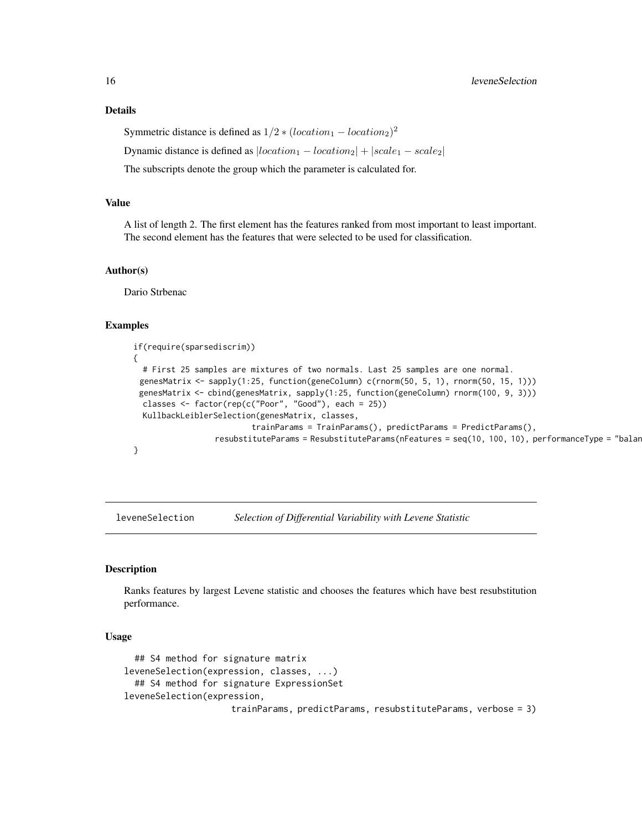Symmetric distance is defined as  $1/2 * (location_1 - location_2)^2$ 

Dynamic distance is defined as  $|location_1 - location_2| + |scale_1 - scale_2|$ 

The subscripts denote the group which the parameter is calculated for.

## Value

A list of length 2. The first element has the features ranked from most important to least important. The second element has the features that were selected to be used for classification.

#### Author(s)

Dario Strbenac

#### Examples

```
if(require(sparsediscrim))
{
  # First 25 samples are mixtures of two normals. Last 25 samples are one normal.
 genesMatrix <- sapply(1:25, function(geneColumn) c(rnorm(50, 5, 1), rnorm(50, 15, 1)))
 genesMatrix <- cbind(genesMatrix, sapply(1:25, function(geneColumn) rnorm(100, 9, 3)))
  classes <- factor(rep(c("Poor", "Good"), each = 25))
  KullbackLeiblerSelection(genesMatrix, classes,
                          trainParams = TrainParams(), predictParams = PredictParams(),
                 resubstituteParams = ResubstituteParams(nFeatures = seq(10, 100, 10), performanceType = "balan
}
```
leveneSelection *Selection of Differential Variability with Levene Statistic*

#### Description

Ranks features by largest Levene statistic and chooses the features which have best resubstitution performance.

## Usage

```
## S4 method for signature matrix
leveneSelection(expression, classes, ...)
  ## S4 method for signature ExpressionSet
leveneSelection(expression,
                     trainParams, predictParams, resubstituteParams, verbose = 3)
```
<span id="page-15-0"></span>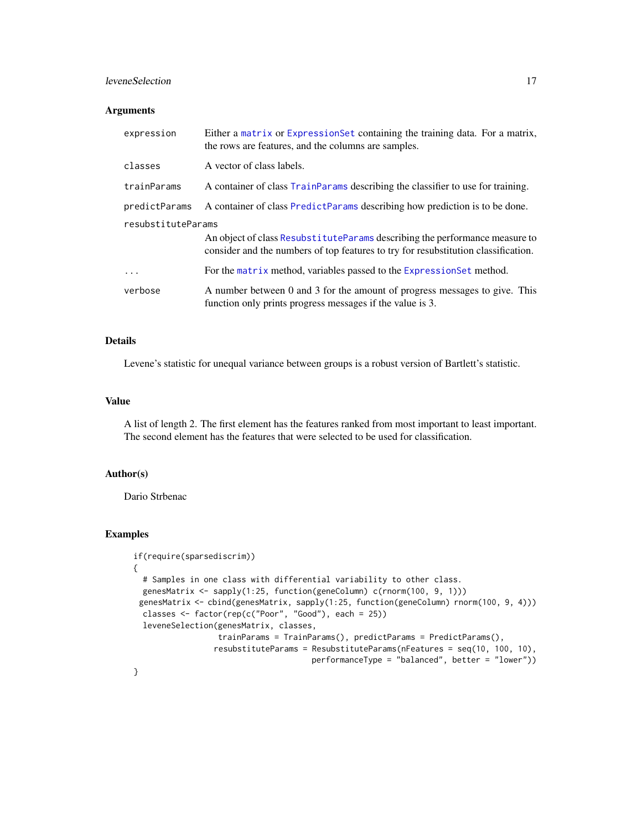## leveneSelection 17

## Arguments

| expression         | Either a matrix or Expression Set containing the training data. For a matrix,<br>the rows are features, and the columns are samples.                               |
|--------------------|--------------------------------------------------------------------------------------------------------------------------------------------------------------------|
| classes            | A vector of class labels.                                                                                                                                          |
| trainParams        | A container of class TrainParams describing the classifier to use for training.                                                                                    |
| predictParams      | A container of class PredictParams describing how prediction is to be done.                                                                                        |
| resubstituteParams |                                                                                                                                                                    |
|                    | An object of class Resubstitute Params describing the performance measure to<br>consider and the numbers of top features to try for resubstitution classification. |
| $\ddotsc$          | For the matrix method, variables passed to the Expression Set method.                                                                                              |
| verbose            | A number between 0 and 3 for the amount of progress messages to give. This<br>function only prints progress messages if the value is 3.                            |

## Details

Levene's statistic for unequal variance between groups is a robust version of Bartlett's statistic.

#### Value

A list of length 2. The first element has the features ranked from most important to least important. The second element has the features that were selected to be used for classification.

## Author(s)

Dario Strbenac

#### Examples

```
if(require(sparsediscrim))
{
 # Samples in one class with differential variability to other class.
 genesMatrix <- sapply(1:25, function(geneColumn) c(rnorm(100, 9, 1)))
 genesMatrix <- cbind(genesMatrix, sapply(1:25, function(geneColumn) rnorm(100, 9, 4)))
 classes <- factor(rep(c("Poor", "Good"), each = 25))
  leveneSelection(genesMatrix, classes,
                  trainParams = TrainParams(), predictParams = PredictParams(),
                 resubstituteParams = ResubstituteParams(nFeatures = seq(10, 100, 10),
                                      performanceType = "balanced", better = "lower"))
}
```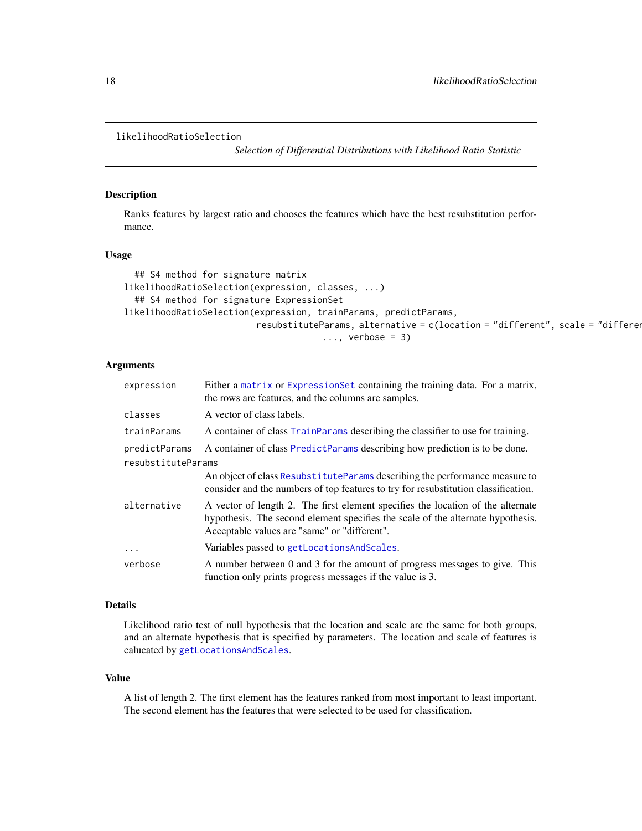```
likelihoodRatioSelection
```
*Selection of Differential Distributions with Likelihood Ratio Statistic*

## Description

Ranks features by largest ratio and chooses the features which have the best resubstitution performance.

## Usage

```
## S4 method for signature matrix
likelihoodRatioSelection(expression, classes, ...)
  ## S4 method for signature ExpressionSet
likelihoodRatioSelection(expression, trainParams, predictParams,
                          resubstituteParams, alternative = c(location = "different", scale = "different"),
                                        \ldots, verbose = 3)
```
## Arguments

| expression         | Either a matrix or Expression Set containing the training data. For a matrix,<br>the rows are features, and the columns are samples.                                                                               |
|--------------------|--------------------------------------------------------------------------------------------------------------------------------------------------------------------------------------------------------------------|
| classes            | A vector of class labels.                                                                                                                                                                                          |
| trainParams        | A container of class TrainParams describing the classifier to use for training.                                                                                                                                    |
| predictParams      | A container of class PredictParams describing how prediction is to be done.                                                                                                                                        |
| resubstituteParams |                                                                                                                                                                                                                    |
|                    | An object of class Resubstitute Params describing the performance measure to<br>consider and the numbers of top features to try for resubstitution classification.                                                 |
| alternative        | A vector of length 2. The first element specifies the location of the alternate<br>hypothesis. The second element specifies the scale of the alternate hypothesis.<br>Acceptable values are "same" or "different". |
| $\cdot$            | Variables passed to getLocationsAndScales.                                                                                                                                                                         |
| verbose            | A number between 0 and 3 for the amount of progress messages to give. This<br>function only prints progress messages if the value is 3.                                                                            |

## Details

Likelihood ratio test of null hypothesis that the location and scale are the same for both groups, and an alternate hypothesis that is specified by parameters. The location and scale of features is calucated by [getLocationsAndScales](#page-12-1).

#### Value

A list of length 2. The first element has the features ranked from most important to least important. The second element has the features that were selected to be used for classification.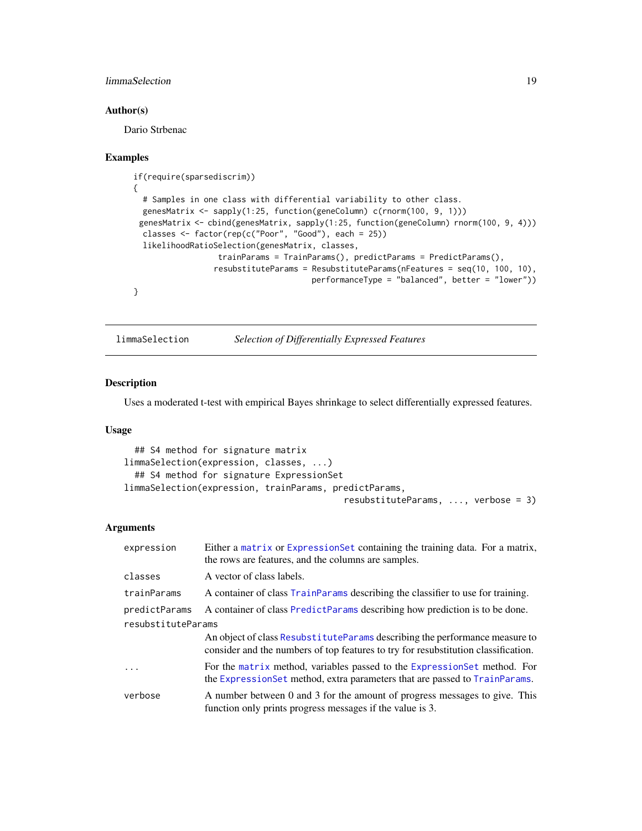## <span id="page-18-0"></span>limmaSelection 19

#### Author(s)

Dario Strbenac

#### Examples

```
if(require(sparsediscrim))
{
  # Samples in one class with differential variability to other class.
 genesMatrix <- sapply(1:25, function(geneColumn) c(rnorm(100, 9, 1)))
 genesMatrix <- cbind(genesMatrix, sapply(1:25, function(geneColumn) rnorm(100, 9, 4)))
 classes <- factor(rep(c("Poor", "Good"), each = 25))
  likelihoodRatioSelection(genesMatrix, classes,
                  trainParams = TrainParams(), predictParams = PredictParams(),
                 resubstituteParams = ResubstituteParams(nFeatures = seq(10, 100, 10),
                                      performanceType = "balanced", better = "lower"))
}
```
limmaSelection *Selection of Differentially Expressed Features*

## Description

Uses a moderated t-test with empirical Bayes shrinkage to select differentially expressed features.

#### Usage

```
## S4 method for signature matrix
limmaSelection(expression, classes, ...)
  ## S4 method for signature ExpressionSet
limmaSelection(expression, trainParams, predictParams,
                                          resubstituteParams, ..., verbose = 3)
```
#### Arguments

| expression         | Either a matrix or ExpressionSet containing the training data. For a matrix,<br>the rows are features, and the columns are samples.                                |  |
|--------------------|--------------------------------------------------------------------------------------------------------------------------------------------------------------------|--|
| classes            | A vector of class labels.                                                                                                                                          |  |
| trainParams        | A container of class TrainParams describing the classifier to use for training.                                                                                    |  |
| predictParams      | A container of class PredictParams describing how prediction is to be done.                                                                                        |  |
| resubstituteParams |                                                                                                                                                                    |  |
|                    | An object of class Resubstitute Params describing the performance measure to<br>consider and the numbers of top features to try for resubstitution classification. |  |
| $\ddots$           | For the matrix method, variables passed to the Expression Set method. For<br>the Expression Set method, extra parameters that are passed to Train Params.          |  |
| verbose            | A number between 0 and 3 for the amount of progress messages to give. This<br>function only prints progress messages if the value is 3.                            |  |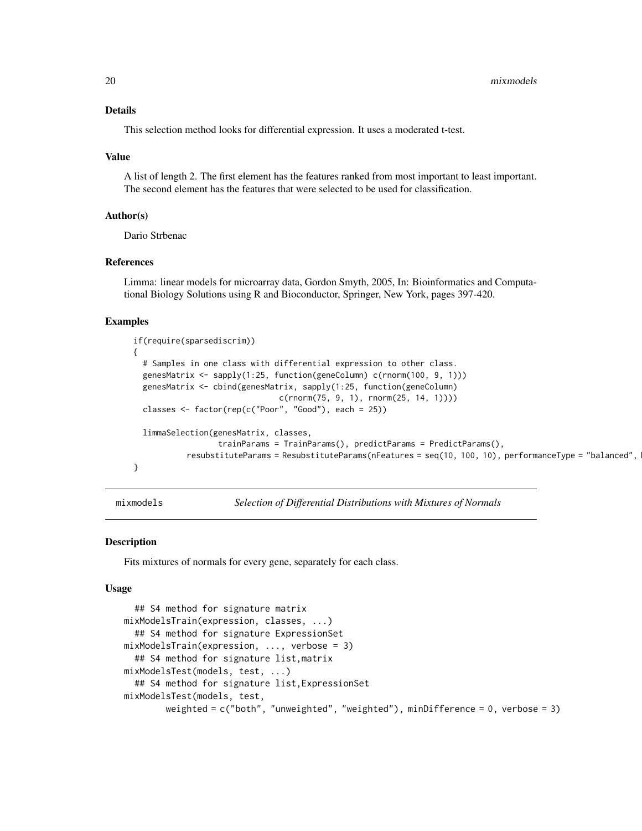#### <span id="page-19-0"></span>Details

This selection method looks for differential expression. It uses a moderated t-test.

#### Value

A list of length 2. The first element has the features ranked from most important to least important. The second element has the features that were selected to be used for classification.

#### Author(s)

Dario Strbenac

#### References

Limma: linear models for microarray data, Gordon Smyth, 2005, In: Bioinformatics and Computational Biology Solutions using R and Bioconductor, Springer, New York, pages 397-420.

#### Examples

```
if(require(sparsediscrim))
{
  # Samples in one class with differential expression to other class.
  genesMatrix <- sapply(1:25, function(geneColumn) c(rnorm(100, 9, 1)))
  genesMatrix <- cbind(genesMatrix, sapply(1:25, function(geneColumn)
                               c(rnorm(75, 9, 1), rnorm(25, 14, 1))))
  classes <- factor(rep(c("Poor", "Good"), each = 25))
  limmaSelection(genesMatrix, classes,
                  trainParams = TrainParams(), predictParams = PredictParams(),
           resubstituteParams = ResubstituteParams(nFeatures = seq(10, 100, 10), performanceType = "balanced",
}
```
mixmodels *Selection of Differential Distributions with Mixtures of Normals*

#### Description

Fits mixtures of normals for every gene, separately for each class.

#### Usage

```
## S4 method for signature matrix
mixModelsTrain(expression, classes, ...)
  ## S4 method for signature ExpressionSet
mixModelsTrain(expression, ..., verbose = 3)
  ## S4 method for signature list,matrix
mixModelsTest(models, test, ...)
  ## S4 method for signature list,ExpressionSet
mixModelsTest(models, test,
        weighted = c("both", "unweighted", "weighted"), minDifference = 0, verbose = 3)
```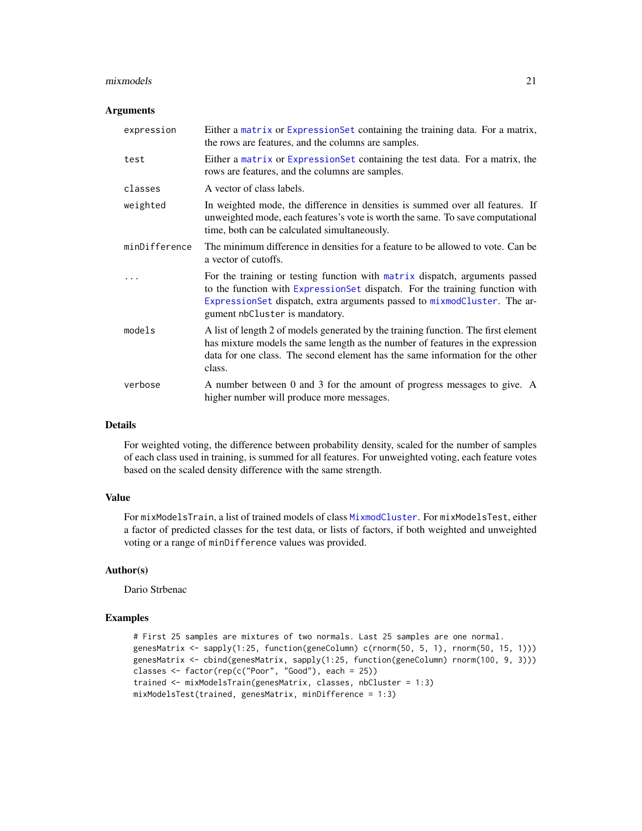#### mixmodels 21

#### **Arguments**

| expression    | Either a matrix or Expression Set containing the training data. For a matrix,<br>the rows are features, and the columns are samples.                                                                                                                                     |
|---------------|--------------------------------------------------------------------------------------------------------------------------------------------------------------------------------------------------------------------------------------------------------------------------|
| test          | Either a matrix or Expression Set containing the test data. For a matrix, the<br>rows are features, and the columns are samples.                                                                                                                                         |
| classes       | A vector of class labels.                                                                                                                                                                                                                                                |
| weighted      | In weighted mode, the difference in densities is summed over all features. If<br>unweighted mode, each features's vote is worth the same. To save computational<br>time, both can be calculated simultaneously.                                                          |
| minDifference | The minimum difference in densities for a feature to be allowed to vote. Can be<br>a vector of cutoffs.                                                                                                                                                                  |
| .             | For the training or testing function with matrix dispatch, arguments passed<br>to the function with ExpressionSet dispatch. For the training function with<br>ExpressionSet dispatch, extra arguments passed to mixmodCluster. The ar-<br>gument nbCluster is mandatory. |
| models        | A list of length 2 of models generated by the training function. The first element<br>has mixture models the same length as the number of features in the expression<br>data for one class. The second element has the same information for the other<br>class.          |
| verbose       | A number between 0 and 3 for the amount of progress messages to give. A<br>higher number will produce more messages.                                                                                                                                                     |

#### Details

For weighted voting, the difference between probability density, scaled for the number of samples of each class used in training, is summed for all features. For unweighted voting, each feature votes based on the scaled density difference with the same strength.

## Value

For mixModelsTrain, a list of trained models of class [MixmodCluster](#page-0-0). For mixModelsTest, either a factor of predicted classes for the test data, or lists of factors, if both weighted and unweighted voting or a range of minDifference values was provided.

#### Author(s)

Dario Strbenac

## Examples

```
# First 25 samples are mixtures of two normals. Last 25 samples are one normal.
genesMatrix <- sapply(1:25, function(geneColumn) c(rnorm(50, 5, 1), rnorm(50, 15, 1)))
genesMatrix <- cbind(genesMatrix, sapply(1:25, function(geneColumn) rnorm(100, 9, 3)))
classes <- factor(rep(c("Poor", "Good"), each = 25))
trained <- mixModelsTrain(genesMatrix, classes, nbCluster = 1:3)
mixModelsTest(trained, genesMatrix, minDifference = 1:3)
```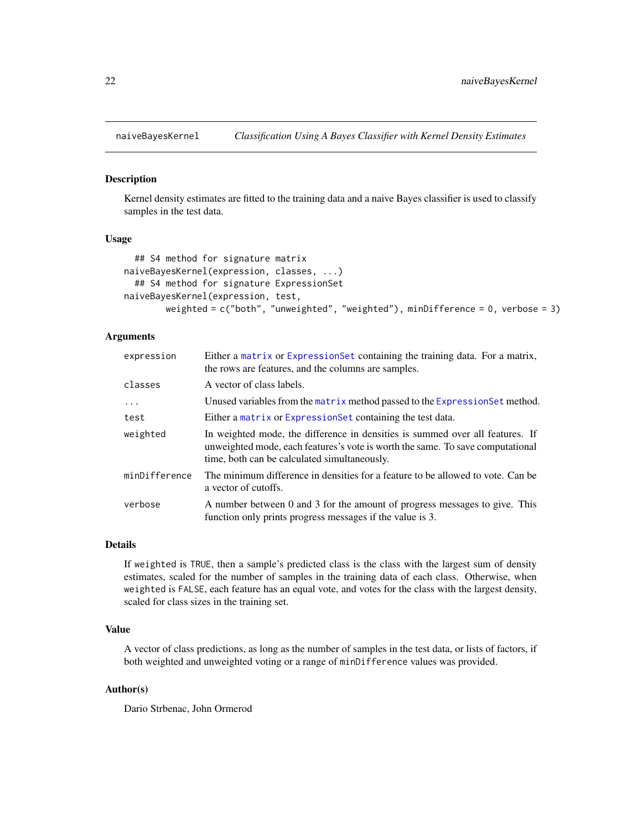<span id="page-21-0"></span>

#### Description

Kernel density estimates are fitted to the training data and a naive Bayes classifier is used to classify samples in the test data.

#### Usage

```
## S4 method for signature matrix
naiveBayesKernel(expression, classes, ...)
  ## S4 method for signature ExpressionSet
naiveBayesKernel(expression, test,
        weighted = c("both", "unweighted", "weighted"), minDifference = 0, verbose = 3)
```
## Arguments

| expression    | Either a matrix or Expression Set containing the training data. For a matrix,<br>the rows are features, and the columns are samples.                                                                            |
|---------------|-----------------------------------------------------------------------------------------------------------------------------------------------------------------------------------------------------------------|
| classes       | A vector of class labels.                                                                                                                                                                                       |
| $\cdot$       | Unused variables from the matrix method passed to the Expression Set method.                                                                                                                                    |
| test          | Either a matrix or Expression Set containing the test data.                                                                                                                                                     |
| weighted      | In weighted mode, the difference in densities is summed over all features. If<br>unweighted mode, each features's vote is worth the same. To save computational<br>time, both can be calculated simultaneously. |
| minDifference | The minimum difference in densities for a feature to be allowed to vote. Can be<br>a vector of cutoffs.                                                                                                         |
| verbose       | A number between 0 and 3 for the amount of progress messages to give. This<br>function only prints progress messages if the value is 3.                                                                         |

#### Details

If weighted is TRUE, then a sample's predicted class is the class with the largest sum of density estimates, scaled for the number of samples in the training data of each class. Otherwise, when weighted is FALSE, each feature has an equal vote, and votes for the class with the largest density, scaled for class sizes in the training set.

## Value

A vector of class predictions, as long as the number of samples in the test data, or lists of factors, if both weighted and unweighted voting or a range of minDifference values was provided.

#### Author(s)

Dario Strbenac, John Ormerod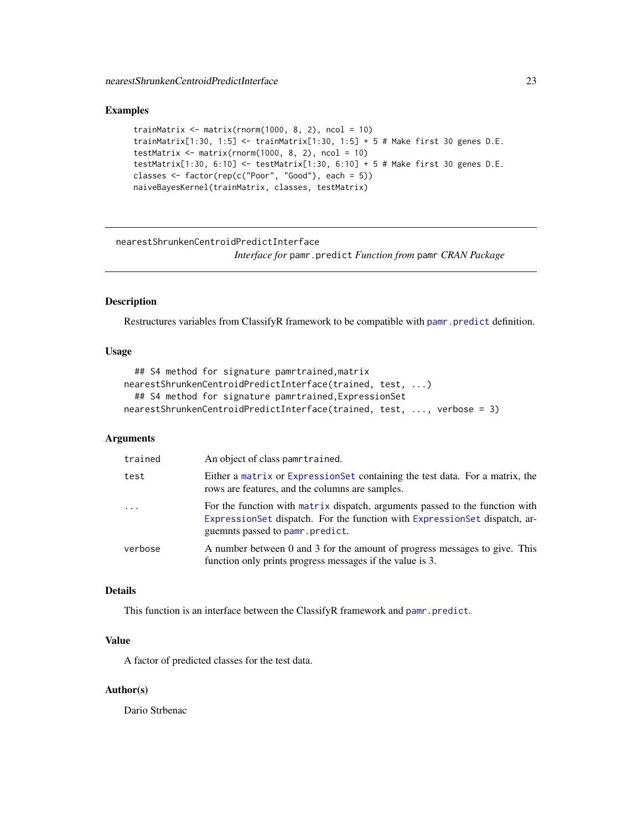#### <span id="page-22-0"></span>Examples

```
trainMatrix \leq matrix(rnorm(1000, 8, 2), ncol = 10)
trainMatrix[1:30, 1:5] \le trainMatrix[1:30, 1:5] + 5 # Make first 30 genes D.E.
testMatrix \leq matrix(rnorm(1000, 8, 2), ncol = 10)
testMatrix[1:30, 6:10] <- testMatrix[1:30, 6:10] + 5 # Make first 30 genes D.E.
classes <- factor(rep(c("Poor", "Good"), each = 5))
naiveBayesKernel(trainMatrix, classes, testMatrix)
```
nearestShrunkenCentroidPredictInterface

*Interface for* pamr.predict *Function from* pamr *CRAN Package*

## Description

Restructures variables from ClassifyR framework to be compatible with [pamr.predict](#page-0-0) definition.

## Usage

```
## S4 method for signature pamrtrained,matrix
nearestShrunkenCentroidPredictInterface(trained, test, ...)
  ## S4 method for signature pamrtrained,ExpressionSet
nearestShrunkenCentroidPredictInterface(trained, test, ..., verbose = 3)
```
## Arguments

| trained  | An object of class pamrtrained.                                                                                                                                                                 |
|----------|-------------------------------------------------------------------------------------------------------------------------------------------------------------------------------------------------|
| test     | Either a matrix or Expression Set containing the test data. For a matrix, the<br>rows are features, and the columns are samples.                                                                |
| $\ddots$ | For the function with matrix dispatch, arguments passed to the function with<br>Expression Set dispatch. For the function with Expression Set dispatch, ar-<br>guemnts passed to pamr. predict. |
| verbose  | A number between 0 and 3 for the amount of progress messages to give. This<br>function only prints progress messages if the value is 3.                                                         |

## Details

This function is an interface between the ClassifyR framework and [pamr.predict](#page-0-0).

## Value

A factor of predicted classes for the test data.

## Author(s)

Dario Strbenac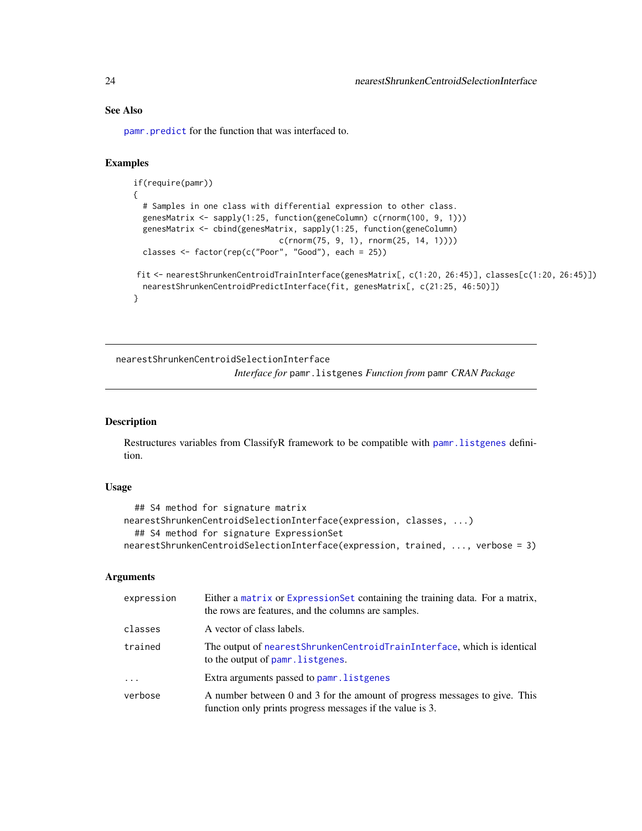## See Also

[pamr.predict](#page-0-0) for the function that was interfaced to.

#### Examples

```
if(require(pamr))
{
  # Samples in one class with differential expression to other class.
  genesMatrix <- sapply(1:25, function(geneColumn) c(rnorm(100, 9, 1)))
  genesMatrix <- cbind(genesMatrix, sapply(1:25, function(geneColumn)
                               c(rnorm(75, 9, 1), rnorm(25, 14, 1))))
  classes <- factor(rep(c("Poor", "Good"), each = 25))
fit <- nearestShrunkenCentroidTrainInterface(genesMatrix[, c(1:20, 26:45)], classes[c(1:20, 26:45)])
  nearestShrunkenCentroidPredictInterface(fit, genesMatrix[, c(21:25, 46:50)])
}
```
nearestShrunkenCentroidSelectionInterface *Interface for* pamr.listgenes *Function from* pamr *CRAN Package*

## Description

Restructures variables from ClassifyR framework to be compatible with [pamr.listgenes](#page-0-0) definition.

## Usage

```
## S4 method for signature matrix
nearestShrunkenCentroidSelectionInterface(expression, classes, ...)
  ## S4 method for signature ExpressionSet
nearestShrunkenCentroidSelectionInterface(expression, trained, ..., verbose = 3)
```
## Arguments

| expression | Either a matrix or Expression Set containing the training data. For a matrix,<br>the rows are features, and the columns are samples.    |
|------------|-----------------------------------------------------------------------------------------------------------------------------------------|
| classes    | A vector of class labels.                                                                                                               |
| trained    | The output of nearest Shrunken Centroid Train Interface, which is identical<br>to the output of pamr. listgenes.                        |
| $\ddotsc$  | Extra arguments passed to pamr. listgenes                                                                                               |
| verbose    | A number between 0 and 3 for the amount of progress messages to give. This<br>function only prints progress messages if the value is 3. |

<span id="page-23-0"></span>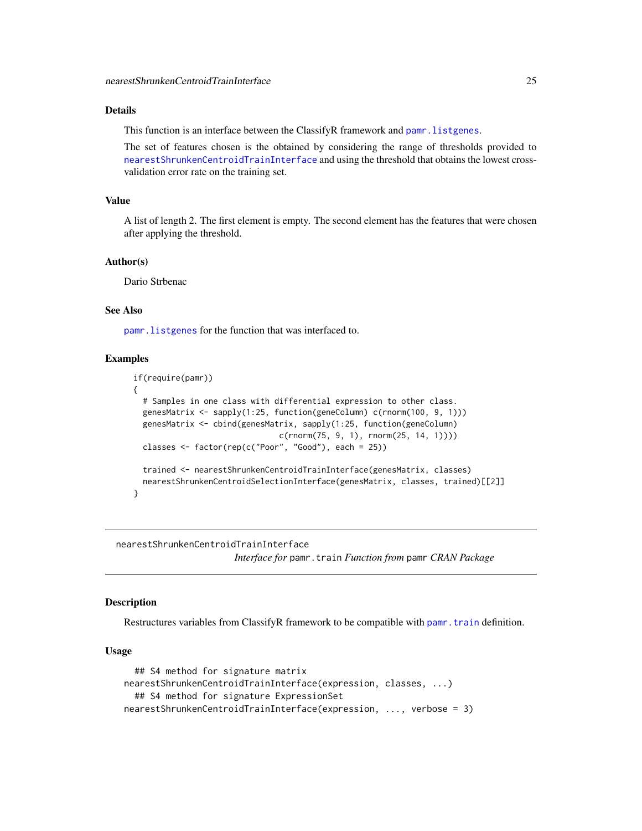## <span id="page-24-0"></span>Details

This function is an interface between the ClassifyR framework and pamr. listgenes.

The set of features chosen is the obtained by considering the range of thresholds provided to [nearestShrunkenCentroidTrainInterface](#page-24-1) and using the threshold that obtains the lowest crossvalidation error rate on the training set.

## Value

A list of length 2. The first element is empty. The second element has the features that were chosen after applying the threshold.

#### Author(s)

Dario Strbenac

## See Also

[pamr.listgenes](#page-0-0) for the function that was interfaced to.

## Examples

```
if(require(pamr))
{
  # Samples in one class with differential expression to other class.
  genesMatrix <- sapply(1:25, function(geneColumn) c(rnorm(100, 9, 1)))
  genesMatrix <- cbind(genesMatrix, sapply(1:25, function(geneColumn)
                               c(rnorm(75, 9, 1), rnorm(25, 14, 1))))
  classes \leq factor(rep(c("Poor", "Good"), each = 25))
  trained <- nearestShrunkenCentroidTrainInterface(genesMatrix, classes)
  nearestShrunkenCentroidSelectionInterface(genesMatrix, classes, trained)[[2]]
}
```
<span id="page-24-1"></span>nearestShrunkenCentroidTrainInterface

*Interface for* pamr.train *Function from* pamr *CRAN Package*

#### **Description**

Restructures variables from ClassifyR framework to be compatible with [pamr.train](#page-0-0) definition.

## Usage

```
## S4 method for signature matrix
nearestShrunkenCentroidTrainInterface(expression, classes, ...)
  ## S4 method for signature ExpressionSet
nearestShrunkenCentroidTrainInterface(expression, ..., verbose = 3)
```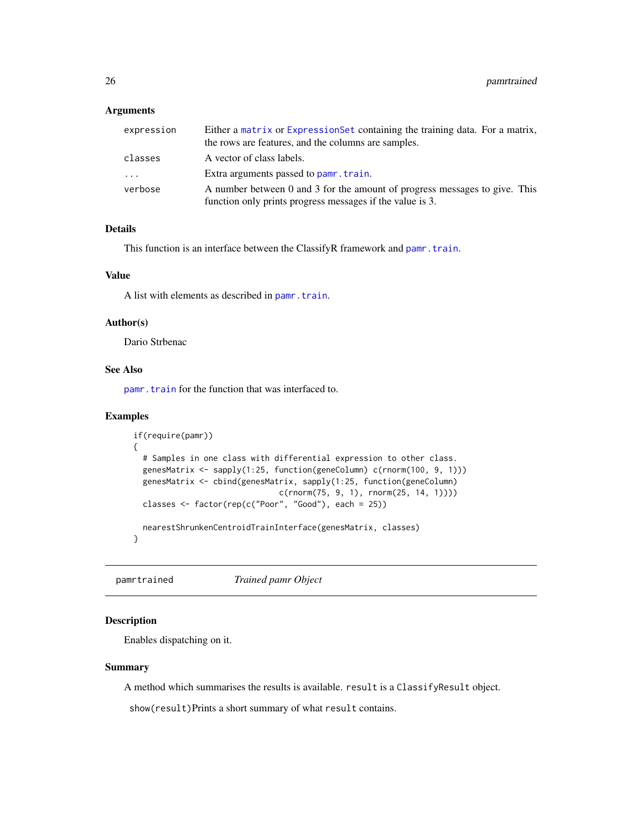## <span id="page-25-0"></span>Arguments

| expression | Either a matrix or Expression Set containing the training data. For a matrix,                                                           |
|------------|-----------------------------------------------------------------------------------------------------------------------------------------|
|            | the rows are features, and the columns are samples.                                                                                     |
| classes    | A vector of class labels.                                                                                                               |
| .          | Extra arguments passed to pamr. train.                                                                                                  |
| verbose    | A number between 0 and 3 for the amount of progress messages to give. This<br>function only prints progress messages if the value is 3. |

## Details

This function is an interface between the ClassifyR framework and [pamr.train](#page-0-0).

## Value

A list with elements as described in [pamr.train](#page-0-0).

## Author(s)

Dario Strbenac

## See Also

[pamr.train](#page-0-0) for the function that was interfaced to.

## Examples

```
if(require(pamr))
{
  # Samples in one class with differential expression to other class.
  genesMatrix <- sapply(1:25, function(geneColumn) c(rnorm(100, 9, 1)))
 genesMatrix <- cbind(genesMatrix, sapply(1:25, function(geneColumn)
                               c(rnorm(75, 9, 1), rnorm(25, 14, 1))))
  classes <- factor(rep(c("Poor", "Good"), each = 25))
 nearestShrunkenCentroidTrainInterface(genesMatrix, classes)
}
```
pamrtrained *Trained pamr Object*

## Description

Enables dispatching on it.

#### Summary

A method which summarises the results is available. result is a ClassifyResult object.

show(result)Prints a short summary of what result contains.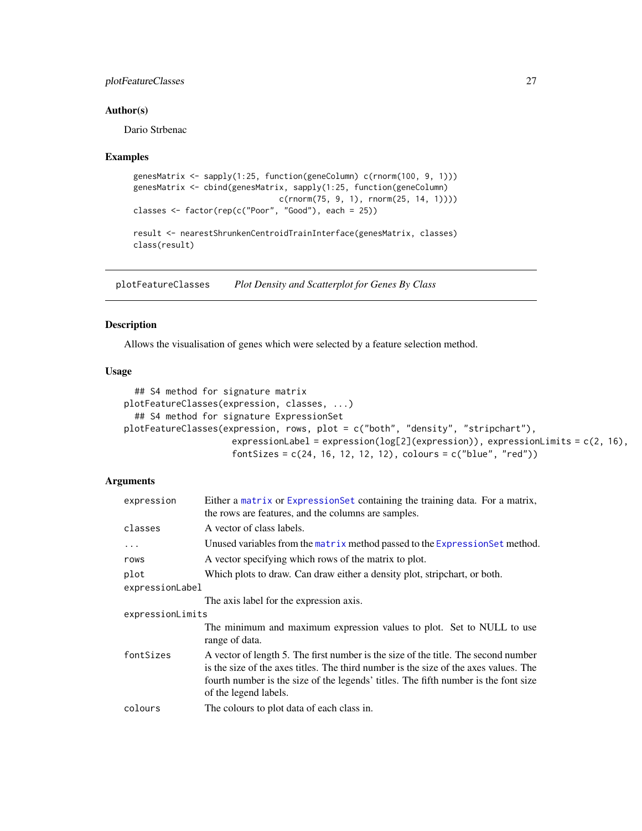## <span id="page-26-0"></span>plotFeatureClasses 27

#### Author(s)

Dario Strbenac

#### Examples

```
genesMatrix <- sapply(1:25, function(geneColumn) c(rnorm(100, 9, 1)))
genesMatrix <- cbind(genesMatrix, sapply(1:25, function(geneColumn)
                              c(rnorm(75, 9, 1), rnorm(25, 14, 1))))
classes <- factor(rep(c("Poor", "Good"), each = 25))
result <- nearestShrunkenCentroidTrainInterface(genesMatrix, classes)
class(result)
```
plotFeatureClasses *Plot Density and Scatterplot for Genes By Class*

#### Description

Allows the visualisation of genes which were selected by a feature selection method.

#### Usage

```
## S4 method for signature matrix
plotFeatureClasses(expression, classes, ...)
  ## S4 method for signature ExpressionSet
plotFeatureClasses(expression, rows, plot = c("both", "density", "stripchart"),
                     expressionLabel = expression(log[2](expression)), expressionLimits = c(2, 16),
                     fontSizes = c(24, 16, 12, 12, 12), colours = c("blue", "red"))
```
## Arguments

| A vector of class labels.<br>classes                                                                                                                                                                                                                                                                    |  |  |
|---------------------------------------------------------------------------------------------------------------------------------------------------------------------------------------------------------------------------------------------------------------------------------------------------------|--|--|
| Unused variables from the matrix method passed to the Expression Set method.<br>$\cdots$                                                                                                                                                                                                                |  |  |
| A vector specifying which rows of the matrix to plot.<br>rows                                                                                                                                                                                                                                           |  |  |
| Which plots to draw. Can draw either a density plot, stripchart, or both.<br>plot                                                                                                                                                                                                                       |  |  |
| expressionLabel                                                                                                                                                                                                                                                                                         |  |  |
| The axis label for the expression axis.                                                                                                                                                                                                                                                                 |  |  |
| expressionLimits                                                                                                                                                                                                                                                                                        |  |  |
| The minimum and maximum expression values to plot. Set to NULL to use<br>range of data.                                                                                                                                                                                                                 |  |  |
| fontSizes<br>A vector of length 5. The first number is the size of the title. The second number<br>is the size of the axes titles. The third number is the size of the axes values. The<br>fourth number is the size of the legends' titles. The fifth number is the font size<br>of the legend labels. |  |  |
| colours<br>The colours to plot data of each class in.                                                                                                                                                                                                                                                   |  |  |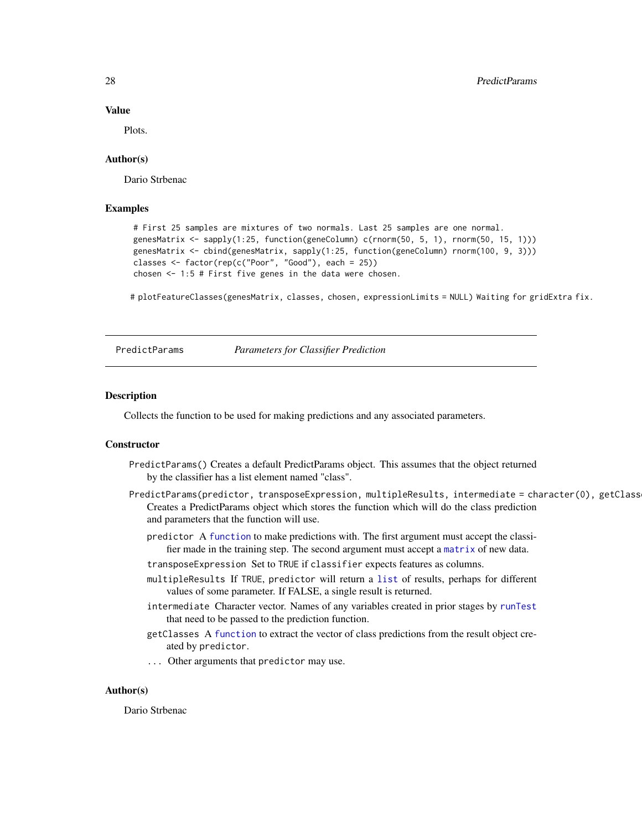#### Value

Plots.

## Author(s)

Dario Strbenac

## Examples

```
# First 25 samples are mixtures of two normals. Last 25 samples are one normal.
genesMatrix <- sapply(1:25, function(geneColumn) c(rnorm(50, 5, 1), rnorm(50, 15, 1)))
genesMatrix <- cbind(genesMatrix, sapply(1:25, function(geneColumn) rnorm(100, 9, 3)))
classes \leq factor(rep(c("Poor", "Good"), each = 25))
chosen <- 1:5 # First five genes in the data were chosen.
```
# plotFeatureClasses(genesMatrix, classes, chosen, expressionLimits = NULL) Waiting for gridExtra fix.

<span id="page-27-1"></span>

PredictParams *Parameters for Classifier Prediction*

#### **Description**

Collects the function to be used for making predictions and any associated parameters.

## **Constructor**

- PredictParams() Creates a default PredictParams object. This assumes that the object returned by the classifier has a list element named "class".
- PredictParams(predictor, transposeExpression, multipleResults, intermediate = character(0), getClass Creates a PredictParams object which stores the function which will do the class prediction and parameters that the function will use.
	- predictor A [function](#page-0-0) to make predictions with. The first argument must accept the classifier made in the training step. The second argument must accept a [matrix](#page-0-0) of new data.
	- transposeExpression Set to TRUE if classifier expects features as columns.
	- multipleResults If TRUE, predictor will return a [list](#page-0-0) of results, perhaps for different values of some parameter. If FALSE, a single result is returned.
	- intermediate Character vector. Names of any variables created in prior stages by [runTest](#page-30-2) that need to be passed to the prediction function.
	- getClasses A [function](#page-0-0) to extract the vector of class predictions from the result object created by predictor.
	- ... Other arguments that predictor may use.

#### Author(s)

Dario Strbenac

<span id="page-27-0"></span>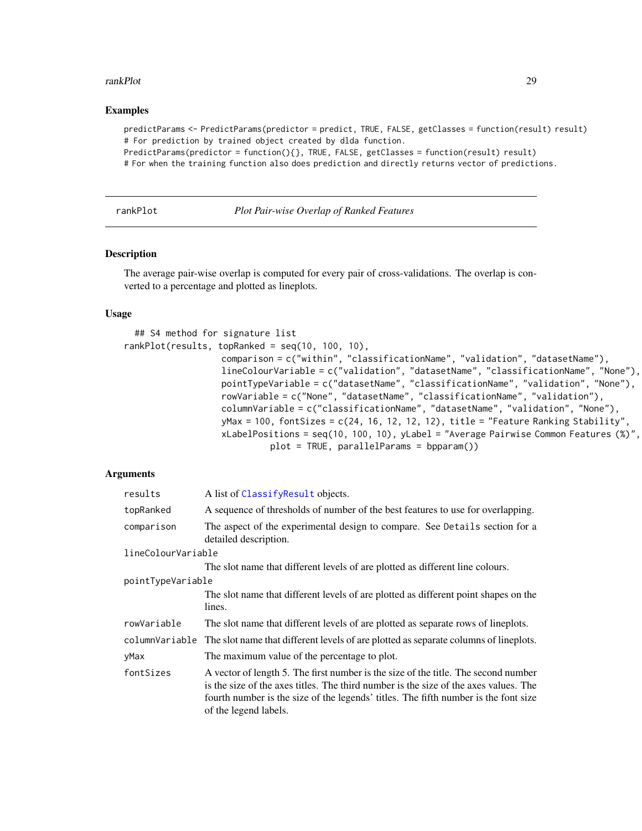#### <span id="page-28-0"></span>rankPlot 29

## Examples

predictParams <- PredictParams(predictor = predict, TRUE, FALSE, getClasses = function(result) result) # For prediction by trained object created by dlda function.

PredictParams(predictor = function(){}, TRUE, FALSE, getClasses = function(result) result)

# For when the training function also does prediction and directly returns vector of predictions.

rankPlot *Plot Pair-wise Overlap of Ranked Features*

#### Description

The average pair-wise overlap is computed for every pair of cross-validations. The overlap is converted to a percentage and plotted as lineplots.

#### Usage

```
## S4 method for signature list
rankPlot(results, topRanked = seq(10, 100, 10),
                   comparison = c("within", "classificationName", "validation", "datasetName"),
                   lineColourVariable = c("validation", "datasetName", "classificationName", "None"),
                   pointTypeVariable = c("datasetName", "classificationName", "validation", "None"),
                   rowVariable = c("None", "datasetName", "classificationName", "validation"),
                   columnVariable = c("classificationName", "datasetName", "validation", "None"),
                   yMax = 100, fontSizes = c(24, 16, 12, 12, 12), title = "Feature Ranking Stability",
                   xLabelPositions = seq(10, 100, 10), yLabel = "Average Pairwise Common Features (%)",
                            plot = TRUE, parallelParams = bpparam())
```
## Arguments

| results            | A list of ClassifyResult objects.                                                                                                                                                                                                                                                          |  |
|--------------------|--------------------------------------------------------------------------------------------------------------------------------------------------------------------------------------------------------------------------------------------------------------------------------------------|--|
| topRanked          | A sequence of thresholds of number of the best features to use for overlapping.                                                                                                                                                                                                            |  |
| comparison         | The aspect of the experimental design to compare. See Details section for a<br>detailed description.                                                                                                                                                                                       |  |
| lineColourVariable |                                                                                                                                                                                                                                                                                            |  |
|                    | The slot name that different levels of are plotted as different line colours.                                                                                                                                                                                                              |  |
| pointTypeVariable  |                                                                                                                                                                                                                                                                                            |  |
|                    | The slot name that different levels of are plotted as different point shapes on the<br>lines.                                                                                                                                                                                              |  |
| rowVariable        | The slot name that different levels of are plotted as separate rows of lineplots.                                                                                                                                                                                                          |  |
|                    | column Variable The slot name that different levels of are plotted as separate columns of lineplots.                                                                                                                                                                                       |  |
| yMax               | The maximum value of the percentage to plot.                                                                                                                                                                                                                                               |  |
| fontSizes          | A vector of length 5. The first number is the size of the title. The second number<br>is the size of the axes titles. The third number is the size of the axes values. The<br>fourth number is the size of the legends' titles. The fifth number is the font size<br>of the legend labels. |  |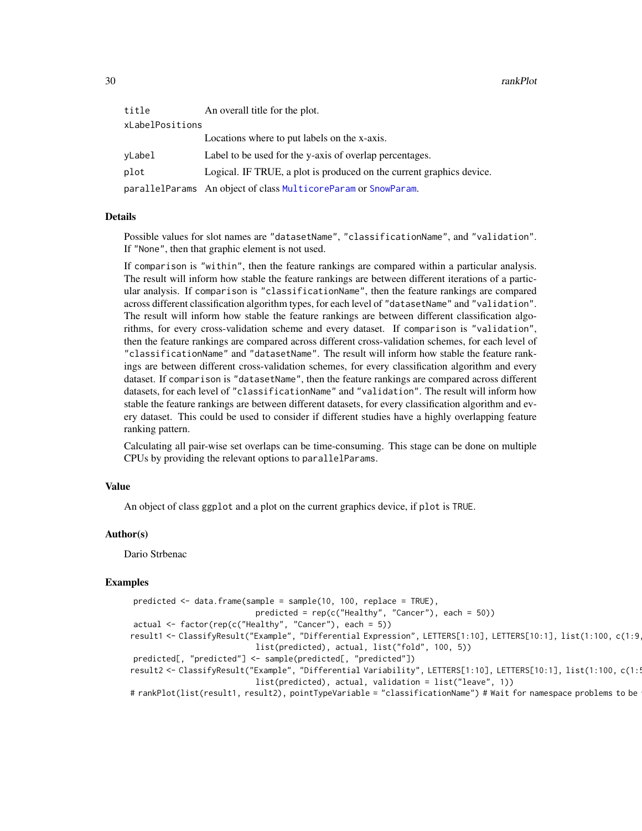| title           | An overall title for the plot.                                       |  |
|-----------------|----------------------------------------------------------------------|--|
| xLabelPositions |                                                                      |  |
|                 | Locations where to put labels on the x-axis.                         |  |
| vLabel          | Label to be used for the y-axis of overlap percentages.              |  |
| plot            | Logical. IF TRUE, a plot is produced on the current graphics device. |  |
|                 | parallelParams An object of class MulticoreParam or SnowParam.       |  |

#### Details

Possible values for slot names are "datasetName", "classificationName", and "validation". If "None", then that graphic element is not used.

If comparison is "within", then the feature rankings are compared within a particular analysis. The result will inform how stable the feature rankings are between different iterations of a particular analysis. If comparison is "classificationName", then the feature rankings are compared across different classification algorithm types, for each level of "datasetName" and "validation". The result will inform how stable the feature rankings are between different classification algorithms, for every cross-validation scheme and every dataset. If comparison is "validation", then the feature rankings are compared across different cross-validation schemes, for each level of "classificationName" and "datasetName". The result will inform how stable the feature rankings are between different cross-validation schemes, for every classification algorithm and every dataset. If comparison is "datasetName", then the feature rankings are compared across different datasets, for each level of "classificationName" and "validation". The result will inform how stable the feature rankings are between different datasets, for every classification algorithm and every dataset. This could be used to consider if different studies have a highly overlapping feature ranking pattern.

Calculating all pair-wise set overlaps can be time-consuming. This stage can be done on multiple CPUs by providing the relevant options to parallelParams.

#### Value

An object of class ggplot and a plot on the current graphics device, if plot is TRUE.

#### Author(s)

Dario Strbenac

#### Examples

```
predicted <- data.frame(sample = sample(10, 100, replace = TRUE),
                           predicted = rep(c("Healthy", "Cancer"), each = 50))
actual <- factor(rep(c("Healthy", "Cancer"), each = 5))
result1 <- ClassifyResult("Example", "Differential Expression", LETTERS[1:10], LETTERS[10:1], list(1:100, c(1:9
                           list(predicted), actual, list("fold", 100, 5))
predicted[, "predicted"] <- sample(predicted[, "predicted"])
result2 <- ClassifyResult("Example", "Differential Variability", LETTERS[1:10], LETTERS[10:1], list(1:100, c(1:
                           list(predicted), actual, validation = list("leave", 1))
# rankPlot(list(result1, result2), pointTypeVariable = "classificationName") # Wait for namespace problems to be
```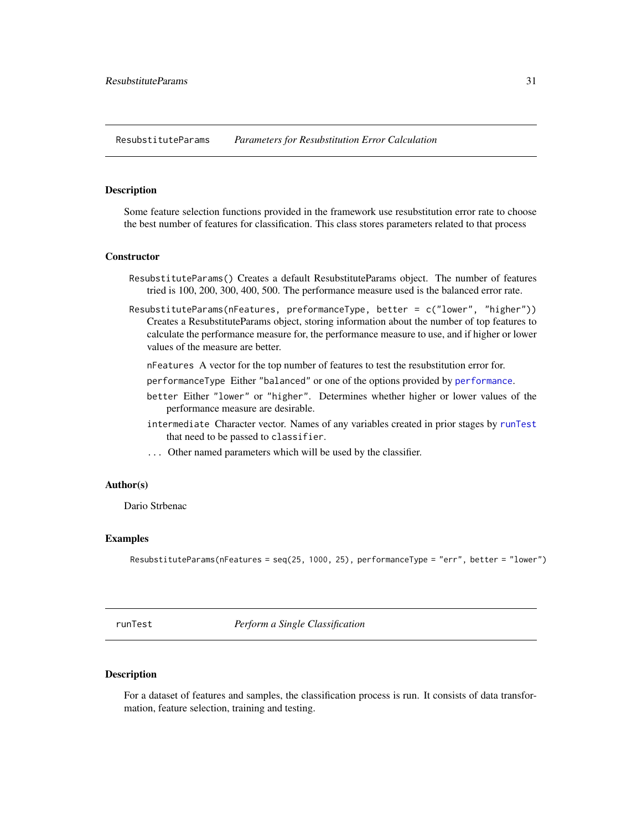<span id="page-30-1"></span><span id="page-30-0"></span>ResubstituteParams *Parameters for Resubstitution Error Calculation*

## **Description**

Some feature selection functions provided in the framework use resubstitution error rate to choose the best number of features for classification. This class stores parameters related to that process

#### Constructor

- ResubstituteParams() Creates a default ResubstituteParams object. The number of features tried is 100, 200, 300, 400, 500. The performance measure used is the balanced error rate.
- ResubstituteParams(nFeatures, preformanceType, better = c("lower", "higher")) Creates a ResubstituteParams object, storing information about the number of top features to calculate the performance measure for, the performance measure to use, and if higher or lower values of the measure are better.
	- nFeatures A vector for the top number of features to test the resubstitution error for.
	- performanceType Either "balanced" or one of the options provided by [performance](#page-3-2).
	- better Either "lower" or "higher". Determines whether higher or lower values of the performance measure are desirable.
	- intermediate Character vector. Names of any variables created in prior stages by [runTest](#page-30-2) that need to be passed to classifier.
	- ... Other named parameters which will be used by the classifier.

## Author(s)

Dario Strbenac

#### Examples

```
ResubstituteParams(nFeatures = seq(25, 1000, 25), performanceType = "err", better = "lower")
```
<span id="page-30-2"></span>runTest *Perform a Single Classification*

## **Description**

For a dataset of features and samples, the classification process is run. It consists of data transformation, feature selection, training and testing.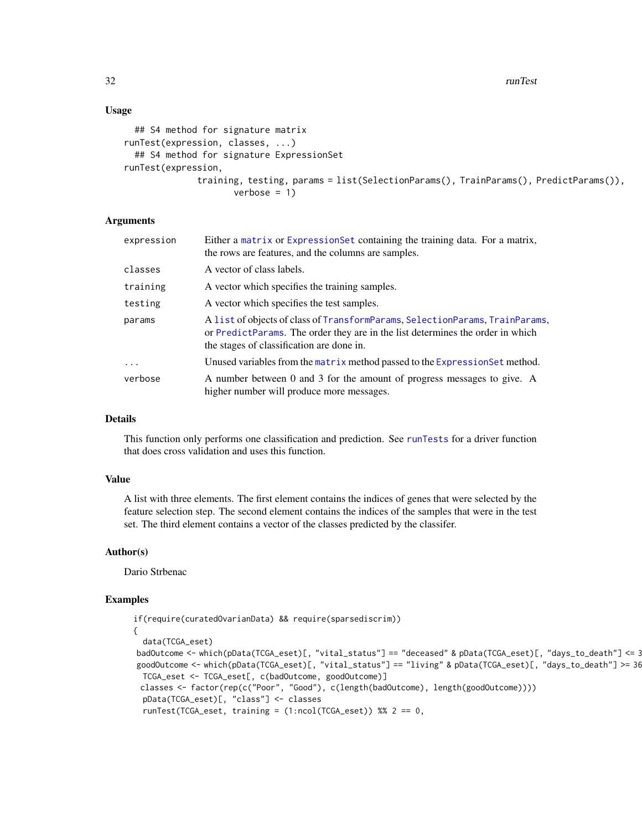32 runTest and the contract of the contract of the contract of the contract of the contract of the contract of the contract of the contract of the contract of the contract of the contract of the contract of the contract of

## Usage

```
## S4 method for signature matrix
runTest(expression, classes, ...)
  ## S4 method for signature ExpressionSet
runTest(expression,
              training, testing, params = list(SelectionParams(), TrainParams(), PredictParams()),
                     verbose = 1)
```
## Arguments

| expression | Either a matrix or Expression Set containing the training data. For a matrix,<br>the rows are features, and the columns are samples.                                                                        |
|------------|-------------------------------------------------------------------------------------------------------------------------------------------------------------------------------------------------------------|
| classes    | A vector of class labels.                                                                                                                                                                                   |
| training   | A vector which specifies the training samples.                                                                                                                                                              |
| testing    | A vector which specifies the test samples.                                                                                                                                                                  |
| params     | A list of objects of class of TransformParams, SelectionParams, TrainParams,<br>or PredictParams. The order they are in the list determines the order in which<br>the stages of classification are done in. |
| $\cdots$   | Unused variables from the matrix method passed to the Expression Set method.                                                                                                                                |
| verbose    | A number between 0 and 3 for the amount of progress messages to give. A<br>higher number will produce more messages.                                                                                        |

## Details

This function only performs one classification and prediction. See [runTests](#page-32-1) for a driver function that does cross validation and uses this function.

## Value

A list with three elements. The first element contains the indices of genes that were selected by the feature selection step. The second element contains the indices of the samples that were in the test set. The third element contains a vector of the classes predicted by the classifer.

## Author(s)

Dario Strbenac

#### Examples

```
if(require(curatedOvarianData) && require(sparsediscrim))
{
  data(TCGA_eset)
badOutcome <- which(pData(TCGA_eset)[, "vital_status"] == "deceased" & pData(TCGA_eset)[, "days_to_death"] <= 365)
goodOutcome <- which(pData(TCGA_eset)[, "vital_status"] == "living" & pData(TCGA_eset)[, "days_to_death"] >= 36
 TCGA_eset <- TCGA_eset[, c(badOutcome, goodOutcome)]
 classes <- factor(rep(c("Poor", "Good"), c(length(badOutcome), length(goodOutcome))))
 pData(TCGA_eset)[, "class"] <- classes
  runTest(TCGA_eset, training = (1:ncol(TCGA_eset)) %% 2 == 0,
```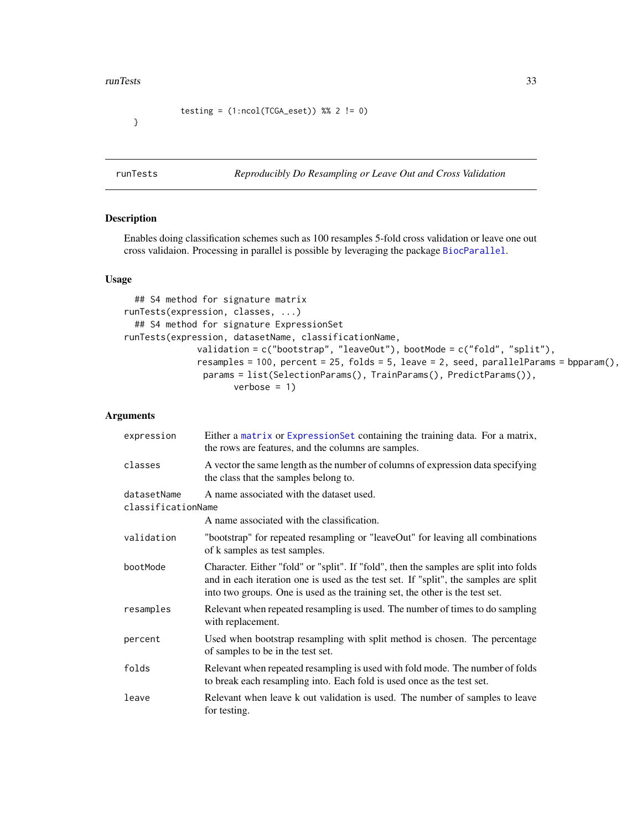#### <span id="page-32-0"></span>runTests 33

```
testing = (1:ncol(TCGA\_eset)) %% 2 != 0)
```
}

<span id="page-32-1"></span>runTests *Reproducibly Do Resampling or Leave Out and Cross Validation*

## Description

Enables doing classification schemes such as 100 resamples 5-fold cross validation or leave one out cross validaion. Processing in parallel is possible by leveraging the package [BiocParallel](#page-0-0).

#### Usage

```
## S4 method for signature matrix
runTests(expression, classes, ...)
  ## S4 method for signature ExpressionSet
runTests(expression, datasetName, classificationName,
              validation = c("bootstrap", "leaveOut"), bootMode = c("fold", "split"),
              resamples = 100, percent = 25, folds = 5, leave = 2, seed, parallelParams = bpparam(),
               params = list(SelectionParams(), TrainParams(), PredictParams()),
                     verbose = 1)
```
## Arguments

| expression                                                                    | Either a matrix or Expression Set containing the training data. For a matrix,<br>the rows are features, and the columns are samples.                                                                                                                          |  |  |  |  |
|-------------------------------------------------------------------------------|---------------------------------------------------------------------------------------------------------------------------------------------------------------------------------------------------------------------------------------------------------------|--|--|--|--|
| classes                                                                       | A vector the same length as the number of columns of expression data specifying<br>the class that the samples belong to.                                                                                                                                      |  |  |  |  |
| A name associated with the dataset used.<br>datasetName<br>classificationName |                                                                                                                                                                                                                                                               |  |  |  |  |
|                                                                               | A name associated with the classification.                                                                                                                                                                                                                    |  |  |  |  |
| validation                                                                    | "bootstrap" for repeated resampling or "leaveOut" for leaving all combinations<br>of k samples as test samples.                                                                                                                                               |  |  |  |  |
| bootMode                                                                      | Character. Either "fold" or "split". If "fold", then the samples are split into folds<br>and in each iteration one is used as the test set. If "split", the samples are split<br>into two groups. One is used as the training set, the other is the test set. |  |  |  |  |
| resamples                                                                     | Relevant when repeated resampling is used. The number of times to do sampling<br>with replacement.                                                                                                                                                            |  |  |  |  |
| percent                                                                       | Used when bootstrap resampling with split method is chosen. The percentage<br>of samples to be in the test set.                                                                                                                                               |  |  |  |  |
| folds                                                                         | Relevant when repeated resampling is used with fold mode. The number of folds<br>to break each resampling into. Each fold is used once as the test set.                                                                                                       |  |  |  |  |
| leave                                                                         | Relevant when leave k out validation is used. The number of samples to leave<br>for testing.                                                                                                                                                                  |  |  |  |  |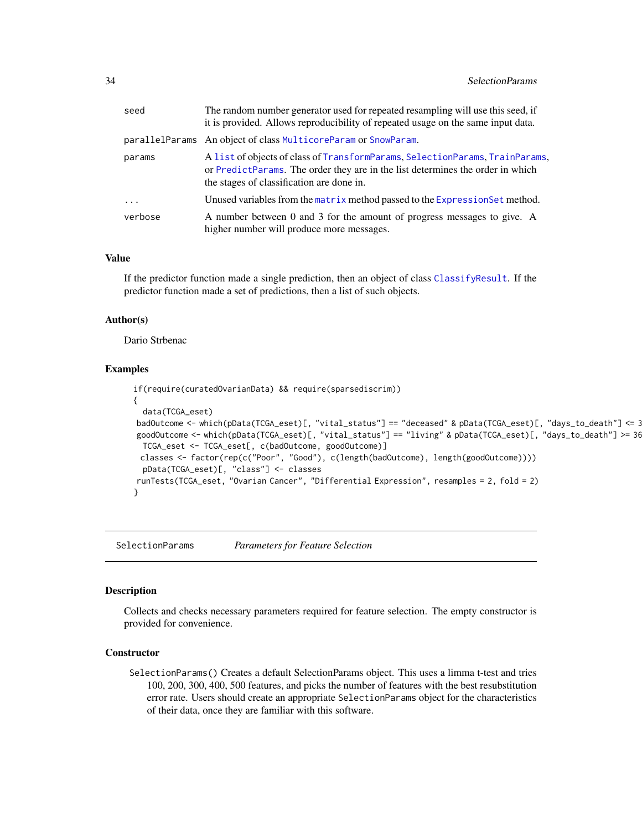<span id="page-33-0"></span>

| seed      | The random number generator used for repeated resampling will use this seed, if<br>it is provided. Allows reproducibility of repeated usage on the same input data.                                         |
|-----------|-------------------------------------------------------------------------------------------------------------------------------------------------------------------------------------------------------------|
|           | parallelParams An object of class MulticoreParam or SnowParam.                                                                                                                                              |
| params    | A list of objects of class of TransformParams, SelectionParams, TrainParams,<br>or PredictParams. The order they are in the list determines the order in which<br>the stages of classification are done in. |
| $\ddotsc$ | Unused variables from the matrix method passed to the Expression Set method.                                                                                                                                |
| verbose   | A number between 0 and 3 for the amount of progress messages to give. A<br>higher number will produce more messages.                                                                                        |

## Value

If the predictor function made a single prediction, then an object of class [ClassifyResult](#page-3-1). If the predictor function made a set of predictions, then a list of such objects.

#### Author(s)

Dario Strbenac

## Examples

```
if(require(curatedOvarianData) && require(sparsediscrim))
{
  data(TCGA_eset)
badOutcome <- which(pData(TCGA_eset)[, "vital_status"] == "deceased" & pData(TCGA_eset)[, "days_to_death"] <= 365)
goodOutcome <- which(pData(TCGA_eset)[, "vital_status"] == "living" & pData(TCGA_eset)[, "days_to_death"] >= 365 * 5)
 TCGA_eset <- TCGA_eset[, c(badOutcome, goodOutcome)]
 classes <- factor(rep(c("Poor", "Good"), c(length(badOutcome), length(goodOutcome))))
 pData(TCGA_eset)[, "class"] <- classes
runTests(TCGA_eset, "Ovarian Cancer", "Differential Expression", resamples = 2, fold = 2)
}
```
<span id="page-33-1"></span>SelectionParams *Parameters for Feature Selection*

#### Description

Collects and checks necessary parameters required for feature selection. The empty constructor is provided for convenience.

### **Constructor**

SelectionParams() Creates a default SelectionParams object. This uses a limma t-test and tries 100, 200, 300, 400, 500 features, and picks the number of features with the best resubstitution error rate. Users should create an appropriate SelectionParams object for the characteristics of their data, once they are familiar with this software.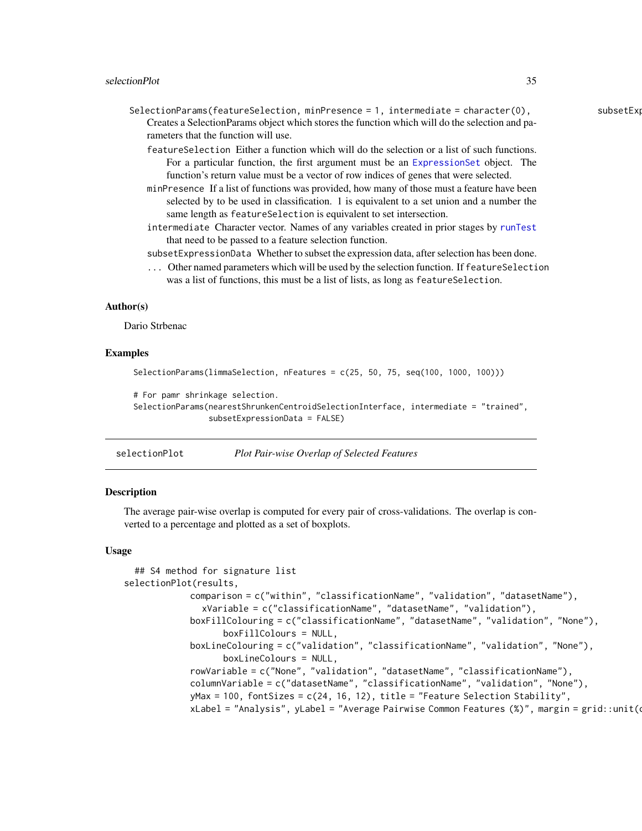- <span id="page-34-0"></span> $S^{e}}$  SelectionParams(featureSelection, minPresence = 1, intermediate = character(0), subsetExpressionData = TRUE, ... Creates a SelectionParams object which stores the function which will do the selection and parameters that the function will use.
	- featureSelection Either a function which will do the selection or a list of such functions. For a particular function, the first argument must be an [ExpressionSet](#page-0-0) object. The function's return value must be a vector of row indices of genes that were selected.
	- minPresence If a list of functions was provided, how many of those must a feature have been selected by to be used in classification. 1 is equivalent to a set union and a number the same length as featureSelection is equivalent to set intersection.
	- intermediate Character vector. Names of any variables created in prior stages by [runTest](#page-30-2) that need to be passed to a feature selection function.
	- subsetExpressionData Whether to subset the expression data, after selection has been done.
	- ... Other named parameters which will be used by the selection function. If featureSelection was a list of functions, this must be a list of lists, as long as featureSelection.

#### Author(s)

Dario Strbenac

#### Examples

```
SelectionParams(limmaSelection, nFeatures = c(25, 50, 75, seq(100, 1000, 100)))
```
# For pamr shrinkage selection.

```
SelectionParams(nearestShrunkenCentroidSelectionInterface, intermediate = "trained",
                subsetExpressionData = FALSE)
```

| selectionPlot | Plot Pair-wise Overlap of Selected Features |
|---------------|---------------------------------------------|
|               |                                             |

## Description

The average pair-wise overlap is computed for every pair of cross-validations. The overlap is converted to a percentage and plotted as a set of boxplots.

#### Usage

```
## S4 method for signature list
selectionPlot(results,
            comparison = c("within", "classificationName", "validation", "datasetName"),
               xVariable = c("classificationName", "datasetName", "validation"),
            boxFillColouring = c("classificationName", "datasetName", "validation", "None"),
                   boxFillColours = NULL,
            boxLineColouring = c("validation", "classificationName", "validation", "None"),
                   boxLineColours = NULL,
             rowVariable = c("None", "validation", "datasetName", "classificationName"),
            columnVariable = c("datasetName", "classificationName", "validation", "None"),
            yMax = 100, fontSizes = c(24, 16, 12), title = "Feature Selection Stability",
             xLabel = "Analysis", yLabel = "Average Pairwise Common Features (%)", margin = grid::unit (
```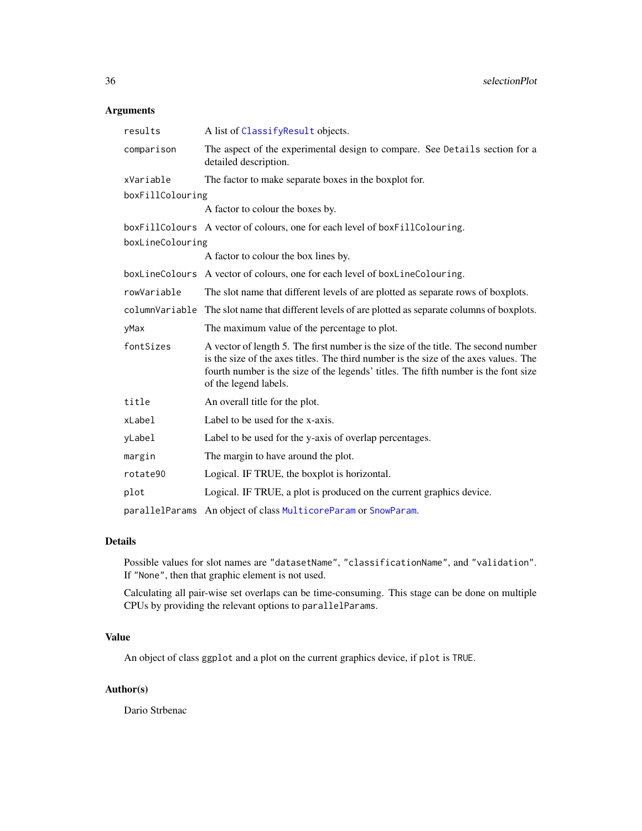## Arguments

| results          | A list of ClassifyResult objects.                                                                                                                                                                                                                                                          |  |  |  |  |  |
|------------------|--------------------------------------------------------------------------------------------------------------------------------------------------------------------------------------------------------------------------------------------------------------------------------------------|--|--|--|--|--|
| comparison       | The aspect of the experimental design to compare. See Details section for a<br>detailed description.                                                                                                                                                                                       |  |  |  |  |  |
| xVariable        | The factor to make separate boxes in the boxplot for.                                                                                                                                                                                                                                      |  |  |  |  |  |
| boxFillColouring |                                                                                                                                                                                                                                                                                            |  |  |  |  |  |
|                  | A factor to colour the boxes by.                                                                                                                                                                                                                                                           |  |  |  |  |  |
|                  | boxFillColours A vector of colours, one for each level of boxFillColouring.                                                                                                                                                                                                                |  |  |  |  |  |
| boxLineColouring |                                                                                                                                                                                                                                                                                            |  |  |  |  |  |
|                  | A factor to colour the box lines by.                                                                                                                                                                                                                                                       |  |  |  |  |  |
|                  | boxLineColours A vector of colours, one for each level of boxLineColouring.                                                                                                                                                                                                                |  |  |  |  |  |
| rowVariable      | The slot name that different levels of are plotted as separate rows of boxplots.                                                                                                                                                                                                           |  |  |  |  |  |
|                  | columnVariable The slot name that different levels of are plotted as separate columns of boxplots.                                                                                                                                                                                         |  |  |  |  |  |
| yMax             | The maximum value of the percentage to plot.                                                                                                                                                                                                                                               |  |  |  |  |  |
| fontSizes        | A vector of length 5. The first number is the size of the title. The second number<br>is the size of the axes titles. The third number is the size of the axes values. The<br>fourth number is the size of the legends' titles. The fifth number is the font size<br>of the legend labels. |  |  |  |  |  |
| title            | An overall title for the plot.                                                                                                                                                                                                                                                             |  |  |  |  |  |
| xLabel           | Label to be used for the x-axis.                                                                                                                                                                                                                                                           |  |  |  |  |  |
| yLabel           | Label to be used for the y-axis of overlap percentages.                                                                                                                                                                                                                                    |  |  |  |  |  |
| margin           | The margin to have around the plot.                                                                                                                                                                                                                                                        |  |  |  |  |  |
| rotate90         | Logical. IF TRUE, the boxplot is horizontal.                                                                                                                                                                                                                                               |  |  |  |  |  |
| plot             | Logical. IF TRUE, a plot is produced on the current graphics device.                                                                                                                                                                                                                       |  |  |  |  |  |
| parallelParams   | An object of class MulticoreParam or SnowParam.                                                                                                                                                                                                                                            |  |  |  |  |  |

## Details

Possible values for slot names are "datasetName", "classificationName", and "validation". If "None", then that graphic element is not used.

Calculating all pair-wise set overlaps can be time-consuming. This stage can be done on multiple CPUs by providing the relevant options to parallelParams.

## Value

An object of class ggplot and a plot on the current graphics device, if plot is TRUE.

## Author(s)

Dario Strbenac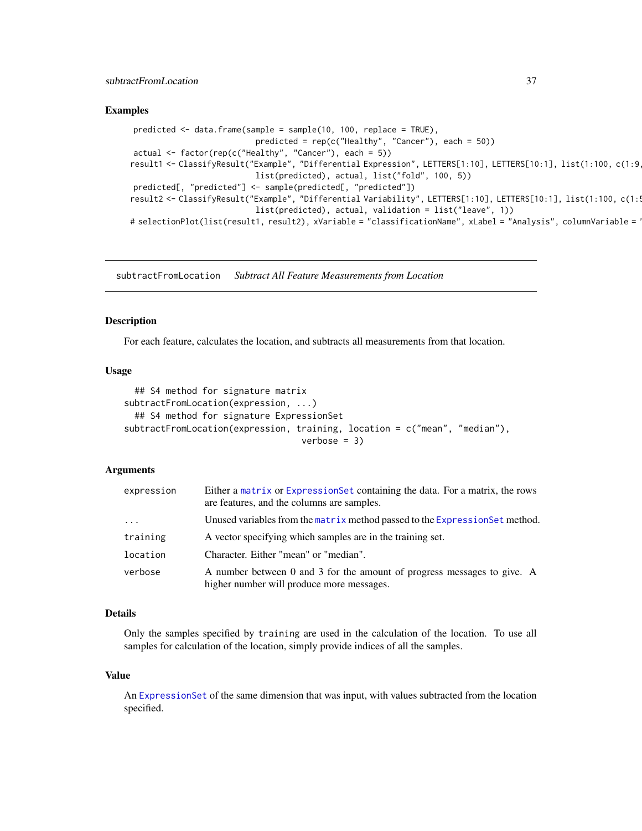## <span id="page-36-0"></span>subtractFromLocation 37

## Examples

```
predicted <- data.frame(sample = sample(10, 100, replace = TRUE),
                          predicted = rep(c("Healthy", "Cancer"), each = 50))actual <- factor(rep(c("Healthy", "Cancer"), each = 5))
result1 <- ClassifyResult("Example", "Differential Expression", LETTERS[1:10], LETTERS[10:1], list(1:100, c(1:9
                          list(predicted), actual, list("fold", 100, 5))
predicted[, "predicted"] <- sample(predicted[, "predicted"])
result2 <- ClassifyResult("Example", "Differential Variability", LETTERS[1:10], LETTERS[10:1], list(1:100, c(1:
                          list(predicted), actual, validation = list("leave", 1))
# selectionPlot(list(result1, result2), xVariable = "classificationName", xLabel = "Analysis", columnVariable =
```
<span id="page-36-1"></span>subtractFromLocation *Subtract All Feature Measurements from Location*

#### Description

For each feature, calculates the location, and subtracts all measurements from that location.

#### Usage

```
## S4 method for signature matrix
subtractFromLocation(expression, ...)
  ## S4 method for signature ExpressionSet
subtractFromLocation(expression, training, location = c("mean", "median"),
                                  verbose = 3)
```
#### Arguments

| expression | Either a matrix or Expression Set containing the data. For a matrix, the rows<br>are features, and the columns are samples. |
|------------|-----------------------------------------------------------------------------------------------------------------------------|
| $\cdots$   | Unused variables from the matrix method passed to the Expression Set method.                                                |
| training   | A vector specifying which samples are in the training set.                                                                  |
| location   | Character. Either "mean" or "median".                                                                                       |
| verbose    | A number between 0 and 3 for the amount of progress messages to give. A<br>higher number will produce more messages.        |

#### Details

Only the samples specified by training are used in the calculation of the location. To use all samples for calculation of the location, simply provide indices of all the samples.

#### Value

An [ExpressionSet](#page-0-0) of the same dimension that was input, with values subtracted from the location specified.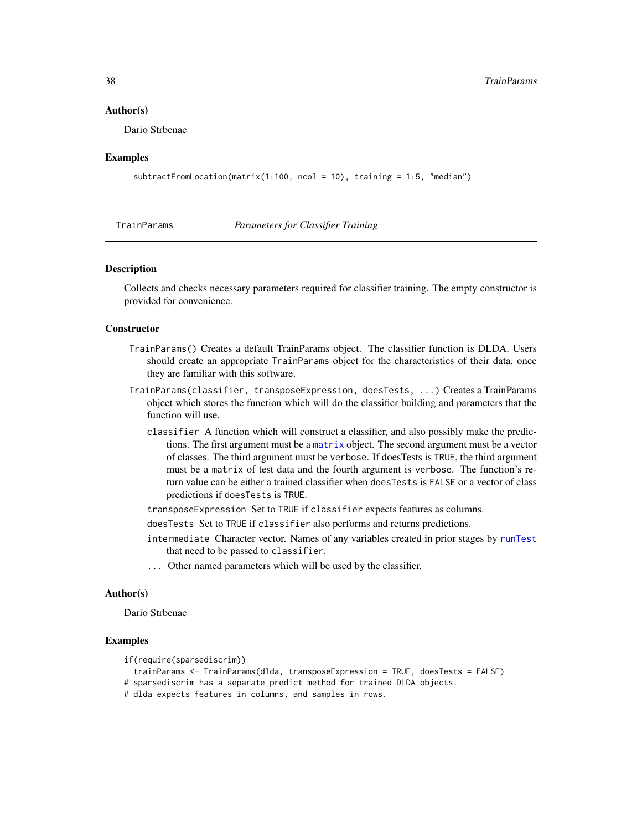#### <span id="page-37-0"></span>Author(s)

Dario Strbenac

#### Examples

```
subtractFromLocation(matrix(1:100, ncol = 10), training = 1:5, "median")
```
<span id="page-37-1"></span>

| TrainParams |  |  |
|-------------|--|--|

#### **Parameters for Classifier Training**

#### Description

Collects and checks necessary parameters required for classifier training. The empty constructor is provided for convenience.

## **Constructor**

- TrainParams() Creates a default TrainParams object. The classifier function is DLDA. Users should create an appropriate TrainParams object for the characteristics of their data, once they are familiar with this software.
- TrainParams(classifier, transposeExpression, doesTests, ...) Creates a TrainParams object which stores the function which will do the classifier building and parameters that the function will use.
	- classifier A function which will construct a classifier, and also possibly make the predictions. The first argument must be a [matrix](#page-0-0) object. The second argument must be a vector of classes. The third argument must be verbose. If doesTests is TRUE, the third argument must be a matrix of test data and the fourth argument is verbose. The function's return value can be either a trained classifier when doesTests is FALSE or a vector of class predictions if doesTests is TRUE.
	- transposeExpression Set to TRUE if classifier expects features as columns.
	- doesTests Set to TRUE if classifier also performs and returns predictions.
	- intermediate Character vector. Names of any variables created in prior stages by [runTest](#page-30-2) that need to be passed to classifier.
	- ... Other named parameters which will be used by the classifier.

## Author(s)

Dario Strbenac

## Examples

```
if(require(sparsediscrim))
```
trainParams <- TrainParams(dlda, transposeExpression = TRUE, doesTests = FALSE)

# sparsediscrim has a separate predict method for trained DLDA objects.

# dlda expects features in columns, and samples in rows.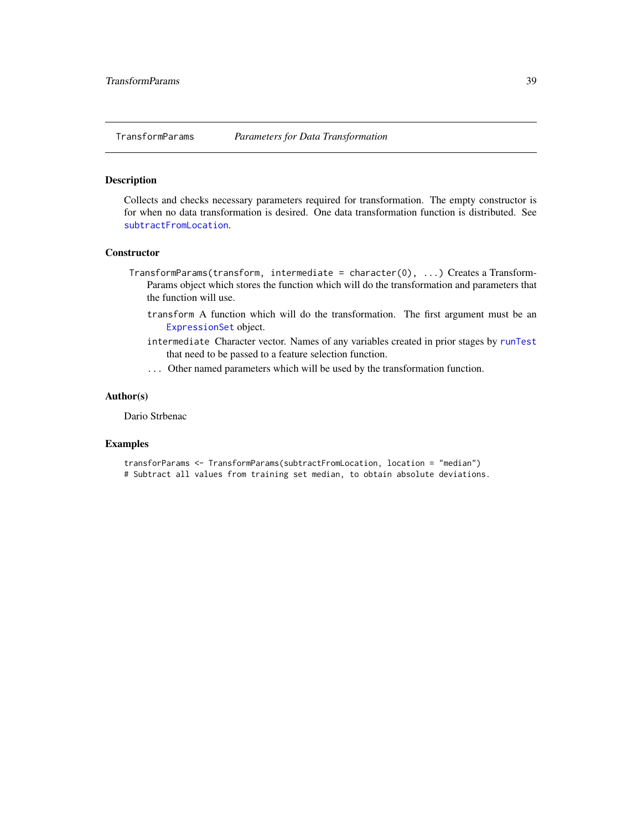<span id="page-38-1"></span><span id="page-38-0"></span>

## Description

Collects and checks necessary parameters required for transformation. The empty constructor is for when no data transformation is desired. One data transformation function is distributed. See [subtractFromLocation](#page-36-1).

## **Constructor**

- TransformParams(transform, intermediate = character(0), ...) Creates a Transform-Params object which stores the function which will do the transformation and parameters that the function will use.
	- transform A function which will do the transformation. The first argument must be an [ExpressionSet](#page-0-0) object.
	- intermediate Character vector. Names of any variables created in prior stages by [runTest](#page-30-2) that need to be passed to a feature selection function.
	- ... Other named parameters which will be used by the transformation function.

## Author(s)

Dario Strbenac

## Examples

transforParams <- TransformParams(subtractFromLocation, location = "median") # Subtract all values from training set median, to obtain absolute deviations.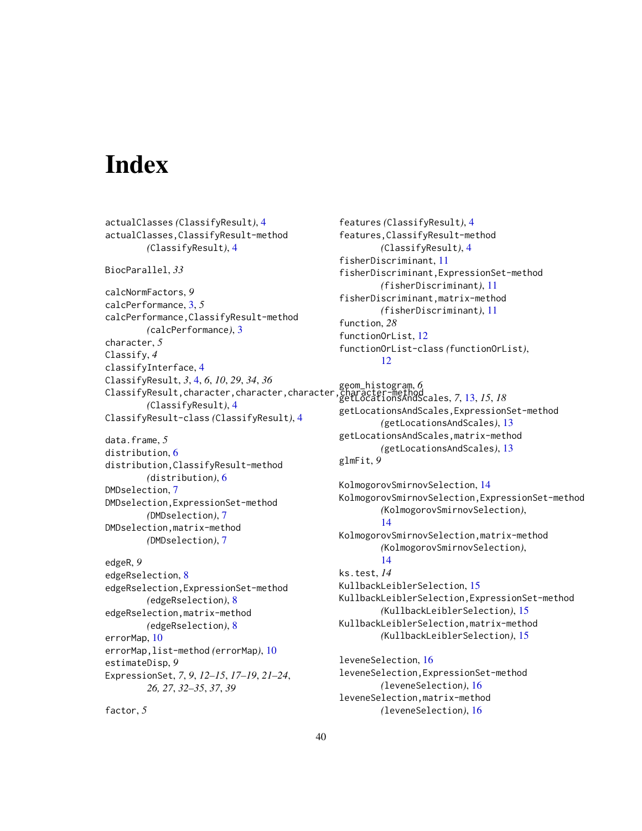# <span id="page-39-0"></span>**Index**

actualClasses *(*ClassifyResult*)*, [4](#page-3-0) actualClasses,ClassifyResult-method *(*ClassifyResult*)*, [4](#page-3-0) BiocParallel, *33* calcNormFactors, *9* calcPerformance, [3,](#page-2-0) *5* calcPerformance,ClassifyResult-method *(*calcPerformance*)*, [3](#page-2-0) character, *5* Classify, *4* classifyInterface, [4](#page-3-0) ClassifyResult, *3*, [4,](#page-3-0) *6*, *10*, *29*, *34*, *36* ClassifyResult, character, character, character *(*ClassifyResult*)*, [4](#page-3-0) ClassifyResult-class *(*ClassifyResult*)*, [4](#page-3-0) data.frame, *5* distribution, [6](#page-5-0) distribution,ClassifyResult-method *(*distribution*)*, [6](#page-5-0) DMDselection, [7](#page-6-0) DMDselection,ExpressionSet-method *(*DMDselection*)*, [7](#page-6-0) DMDselection,matrix-method *(*DMDselection*)*, [7](#page-6-0) edgeR, *9* edgeRselection, [8](#page-7-0) edgeRselection,ExpressionSet-method *(*edgeRselection*)*, [8](#page-7-0) edgeRselection,matrix-method *(*edgeRselection*)*, [8](#page-7-0) errorMap, [10](#page-9-0) errorMap,list-method *(*errorMap*)*, [10](#page-9-0) estimateDisp, *9* ExpressionSet, *7*, *9*, *12–15*, *17–19*, *21–24*, *26, 27*, *32–35*, *37*, *39*

factor, *5*

features *(*ClassifyResult*)*, [4](#page-3-0) features,ClassifyResult-method *(*ClassifyResult*)*, [4](#page-3-0) fisherDiscriminant, [11](#page-10-0) fisherDiscriminant,ExpressionSet-method *(*fisherDiscriminant*)*, [11](#page-10-0) fisherDiscriminant,matrix-method *(*fisherDiscriminant*)*, [11](#page-10-0) function, *28* functionOrList, [12](#page-11-0) functionOrList-class *(*functionOrList*)*, [12](#page-11-0)

geom\_histogram, *6* getLocationsAndScales, *7*, [13,](#page-12-0) *15*, *18* getLocationsAndScales,ExpressionSet-method *(*getLocationsAndScales*)*, [13](#page-12-0) getLocationsAndScales,matrix-method *(*getLocationsAndScales*)*, [13](#page-12-0) glmFit, *9*

KolmogorovSmirnovSelection, [14](#page-13-0) KolmogorovSmirnovSelection,ExpressionSet-method *(*KolmogorovSmirnovSelection*)*, [14](#page-13-0) KolmogorovSmirnovSelection,matrix-method *(*KolmogorovSmirnovSelection*)*, [14](#page-13-0) ks.test, *14* KullbackLeiblerSelection, [15](#page-14-0) KullbackLeiblerSelection,ExpressionSet-method *(*KullbackLeiblerSelection*)*, [15](#page-14-0) KullbackLeiblerSelection,matrix-method *(*KullbackLeiblerSelection*)*, [15](#page-14-0) leveneSelection, [16](#page-15-0)

leveneSelection,ExpressionSet-method *(*leveneSelection*)*, [16](#page-15-0) leveneSelection,matrix-method *(*leveneSelection*)*, [16](#page-15-0)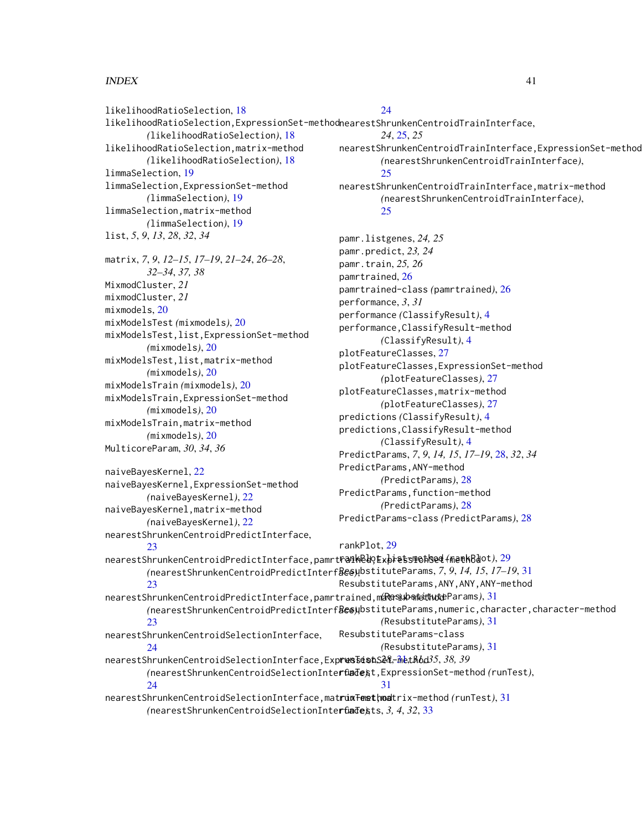## $I<sub>N</sub>$  and  $I<sub>1</sub>$  and  $I<sub>2</sub>$  and  $I<sub>3</sub>$  and  $I<sub>4</sub>$  and  $I<sub>4</sub>$  and  $I<sub>4</sub>$  and  $I<sub>4</sub>$  and  $I<sub>4</sub>$  and  $I<sub>4</sub>$  and  $I<sub>4</sub>$  and  $I<sub>4</sub>$  and  $I<sub>4</sub>$  and  $I<sub>4</sub>$  and  $I<sub>4</sub>$  a

likelihoodRatioSelection, [18](#page-17-0) *(*likelihoodRatioSelection*)*, [18](#page-17-0) likelihoodRatioSelection,matrix-method *(*likelihoodRatioSelection*)*, [18](#page-17-0) limmaSelection, [19](#page-18-0) limmaSelection,ExpressionSet-method *(*limmaSelection*)*, [19](#page-18-0) limmaSelection,matrix-method *(*limmaSelection*)*, [19](#page-18-0) list, *5*, *9*, *13*, *28*, *32*, *34* matrix, *7*, *9*, *12–15*, *17–19*, *21–24*, *26–28*, *32–34*, *37, 38* MixmodCluster, *21* mixmodCluster, *21* mixmodels, [20](#page-19-0) mixModelsTest *(*mixmodels*)*, [20](#page-19-0) mixModelsTest,list,ExpressionSet-method *(*mixmodels*)*, [20](#page-19-0) mixModelsTest,list,matrix-method *(*mixmodels*)*, [20](#page-19-0) mixModelsTrain *(*mixmodels*)*, [20](#page-19-0) mixModelsTrain,ExpressionSet-method *(*mixmodels*)*, [20](#page-19-0) mixModelsTrain,matrix-method *(*mixmodels*)*, [20](#page-19-0) MulticoreParam, *30*, *34*, *36* naiveBayesKernel, [22](#page-21-0) naiveBayesKernel,ExpressionSet-method *(*naiveBayesKernel*)*, [22](#page-21-0) naiveBayesKernel,matrix-method *(*naiveBayesKernel*)*, [22](#page-21-0) nearestShrunkenCentroidPredictInterface, [23](#page-22-0)

## [24](#page-23-0)

likelihoodRatioSelection,ExpressionSet-method nearestShrunkenCentroidTrainInterface, *24*, [25,](#page-24-0) *25*

- nearestShrunkenCentroidTrainInterface,ExpressionSet-method *(*nearestShrunkenCentroidTrainInterface*)*, [25](#page-24-0)
- nearestShrunkenCentroidTrainInterface,matrix-method *(*nearestShrunkenCentroidTrainInterface*)*,  $25$

pamr.listgenes, *24, 25* pamr.predict, *23, 24* pamr.train, *25, 26* pamrtrained, [26](#page-25-0) pamrtrained-class *(*pamrtrained*)*, [26](#page-25-0) performance, *3*, *31* performance *(*ClassifyResult*)*, [4](#page-3-0) performance,ClassifyResult-method *(*ClassifyResult*)*, [4](#page-3-0) plotFeatureClasses, [27](#page-26-0) plotFeatureClasses,ExpressionSet-method *(*plotFeatureClasses*)*, [27](#page-26-0) plotFeatureClasses,matrix-method *(*plotFeatureClasses*)*, [27](#page-26-0) predictions *(*ClassifyResult*)*, [4](#page-3-0) predictions,ClassifyResult-method *(*ClassifyResult*)*, [4](#page-3-0) PredictParams, *7*, *9*, *14, 15*, *17–19*, [28,](#page-27-0) *32*, *34* PredictParams,ANY-method *(*PredictParams*)*, [28](#page-27-0) PredictParams,function-method *(*PredictParams*)*, [28](#page-27-0) PredictParams-class *(*PredictParams*)*, [28](#page-27-0)

## rankPlot, [29](#page-28-0)

nearestShrunkenCentroidPredictInterface,pamrtrained,ExpressionSet-method rankPlot,list-method *(*rankPlot*)*, [29](#page-28-0) *(*nearestShrunkenCentroidPredictInterface*)*, ResubstituteParams, *7*, *9*, *14, 15*, *17–19*, [31](#page-30-0) [23](#page-22-0) nearestShrunkenCentroidPredictInterface,pamrtrained,matrix-method *(*ResubstituteParams*)*, [31](#page-30-0) *(*nearestShrunkenCentroidPredictInterface*)*, ResubstituteParams,numeric,character,character-method  $23$ nearestShrunkenCentroidSelectionInterface,  $24$ nearestShrunkenCentroidSelectionInterface,ExpressionSet[-me](#page-30-0)thod runTest, *28*, 31, *31*, *35*, *38, 39 (*nearestShrunkenCentroidSelectionInterface*)*, runTest,ExpressionSet-method *(*runTest*)*,  $24$ nearestShrunkenCentroidSelectionInterface,matrix-method runTest,matrix-method *(*runTest*)*, [31](#page-30-0) ResubstituteParams,ANY,ANY,ANY-method *(*ResubstituteParams*)*, [31](#page-30-0) ResubstituteParams-class *(*ResubstituteParams*)*, [31](#page-30-0) [31](#page-30-0)

*(*nearestShrunkenCentroidSelectionInterface*)*, runTests, *3, 4*, *32*, [33](#page-32-0)